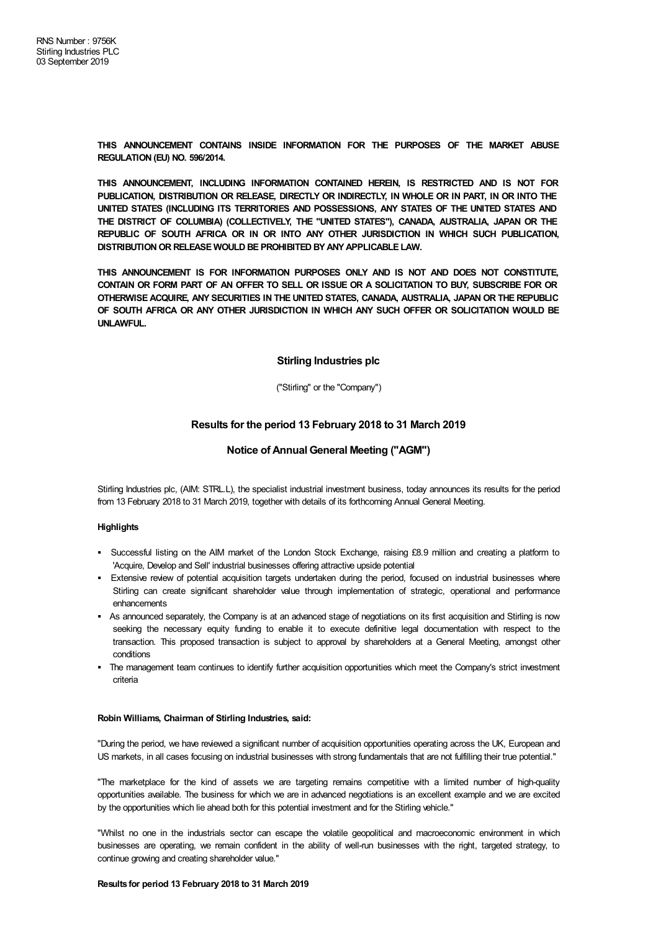**THIS ANNOUNCEMENT CONTAINS INSIDE INFORMATION FOR THE PURPOSES OF THE MARKET ABUSE REGULATION (EU) NO. 596/2014.**

**THIS ANNOUNCEMENT, INCLUDING INFORMATION CONTAINED HEREIN, IS RESTRICTED AND IS NOT FOR PUBLICATION, DISTRIBUTION OR RELEASE, DIRECTLY OR INDIRECTLY, IN WHOLE OR IN PART, IN OR INTO THE UNITED STATES (INCLUDING ITS TERRITORIES AND POSSESSIONS, ANY STATES OF THE UNITED STATES AND THE DISTRICT OF COLUMBIA) (COLLECTIVELY, THE "UNITED STATES"), CANADA, AUSTRALIA, JAPAN OR THE REPUBLIC OF SOUTH AFRICA OR IN OR INTO ANY OTHER JURISDICTION IN WHICH SUCH PUBLICATION, DISTRIBUTIONOR RELEASE WOULD BE PROHIBITED BYANYAPPLICABLE LAW.**

**THIS ANNOUNCEMENT IS FOR INFORMATION PURPOSES ONLY AND IS NOT AND DOES NOT CONSTITUTE,** CONTAIN OR FORM PART OF AN OFFER TO SELL OR ISSUE OR A SOLICITATION TO BUY, SUBSCRIBE FOR OR **OTHERWISE ACQUIRE, ANY SECURITIES IN THE UNITED STATES, CANADA, AUSTRALIA, JAPAN OR THE REPUBLIC OF SOUTH AFRICA OR ANY OTHER JURISDICTION IN WHICH ANY SUCH OFFER OR SOLICITATION WOULD BE UNLAWFUL.**

# **Stirling Industries plc**

("Stirling" or the "Company")

# **Results for the period 13 February 2018 to 31 March 2019**

# **Notice of Annual General Meeting ("AGM")**

Stirling Industries plc, (AIM: STRL.L), the specialist industrial investment business, today announces its results for the period from 13 February 2018 to 31 March 2019, together with details of its forthcoming Annual General Meeting.

# **Highlights**

- § Successful listing on the AIM market of the London Stock Exchange, raising £8.9 million and creating a platform to 'Acquire, Develop and Sell' industrial businesses offering attractive upside potential
- § Extensive review of potential acquisition targets undertaken during the period, focused on industrial businesses where Stirling can create significant shareholder value through implementation of strategic, operational and performance enhancements
- As announced separately, the Company is at an advanced stage of negotiations on its first acquisition and Stirling is now seeking the necessary equity funding to enable it to execute definitive legal documentation with respect to the transaction. This proposed transaction is subject to approval by shareholders at a General Meeting, amongst other conditions
- The management team continues to identify further acquisition opportunities which meet the Company's strict investment criteria

## **Robin Williams, Chairman of Stirling Industries, said:**

"During the period, we have reviewed a significant number of acquisition opportunities operating across the UK, European and US markets, in all cases focusing on industrial businesses with strong fundamentals that are not fulfilling their true potential."

"The marketplace for the kind of assets we are targeting remains competitive with a limited number of high-quality opportunities available. The business for which we are in advanced negotiations is an excellent example and we are excited by the opportunities which lie ahead both for this potential investment and for the Stirling vehicle."

"Whilst no one in the industrials sector can escape the volatile geopolitical and macroeconomic environment in which businesses are operating, we remain confident in the ability of well-run businesses with the right, targeted strategy, to continue growing and creating shareholder value."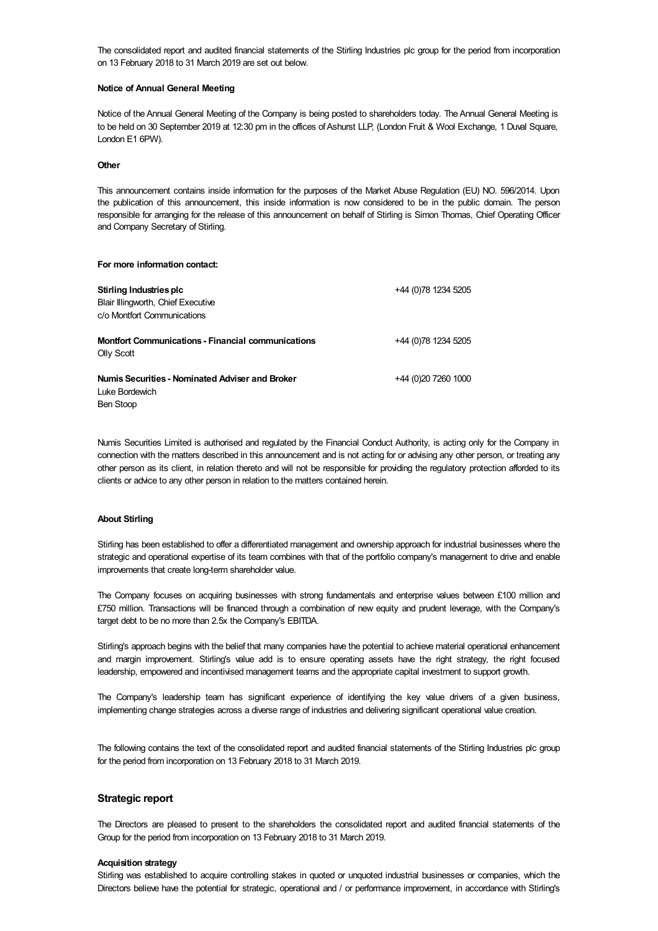The consolidated report and audited financial statements of the Stirling Industries plc group for the period from incorporation on 13 February 2018 to 31 March 2019 are set out below.

#### **Notice of Annual General Meeting**

Notice of the Annual General Meeting of the Company is being posted to shareholders today. The Annual General Meeting is to be held on 30 September 2019 at 12:30 pm in the offices of Ashurst LLP, (London Fruit & Wool Exchange, 1 Duval Square, London E1 6PW).

#### **Other**

This announcement contains inside information for the purposes of the Market Abuse Regulation (EU) NO. 596/2014. Upon the publication of this announcement, this inside information is now considered to be in the public domain. The person responsible for arranging for the release of this announcement on behalf of Stirling is Simon Thomas, Chief Operating Officer and Company Secretary of Stirling.

# **For more information contact: Stirling Industries plc** Blair Illingworth, Chief Executive c/o Montfort Communications +44 (0)78 1234 5205 **Montfort Communications - Financial communications** Olly Scott +44 (0)78 1234 5205 **NumisSecurities - Nominated Adviser and Broker** +44 (0)20 7260 1000

Luke Bordewich Ben Stoop

Numis Securities Limited is authorised and regulated by the Financial Conduct Authority, is acting only for the Company in connection with the matters described in this announcement and is not acting for or advising any other person, or treating any other person as its client, in relation thereto and will not be responsible for providing the regulatory protection afforded to its clients or advice to any other person in relation to the matters contained herein.

# **About Stirling**

Stirling has been established to offer a differentiated management and ownership approach for industrial businesses where the strategic and operational expertise of its team combines with that of the portfolio company's management to drive and enable improvements that create long-term shareholder value.

The Company focuses on acquiring businesses with strong fundamentals and enterprise values between £100 million and £750 million. Transactions will be financed through a combination of new equity and prudent leverage, with the Company's target debt to be no more than 2.5x the Company's EBITDA.

Stirling's approach begins with the belief that many companies have the potential to achieve material operational enhancement and margin improvement. Stirling's value add is to ensure operating assets have the right strategy, the right focused leadership, empowered and incentivised management teams and the appropriate capital investment to support growth.

The Company's leadership team has significant experience of identifying the key value drivers of a given business, implementing change strategies across a diverse range of industries and delivering significant operational value creation.

The following contains the text of the consolidated report and audited financial statements of the Stirling Industries plc group for the period from incorporation on 13 February 2018 to 31 March 2019.

# **Strategic report**

The Directors are pleased to present to the shareholders the consolidated report and audited financial statements of the Group for the period from incorporation on 13 February 2018 to 31 March 2019.

## **Acquisition strategy**

Stirling was established to acquire controlling stakes in quoted or unquoted industrial businesses or companies, which the Directors believe have the potential for strategic, operational and / or performance improvement, in accordance with Stirling's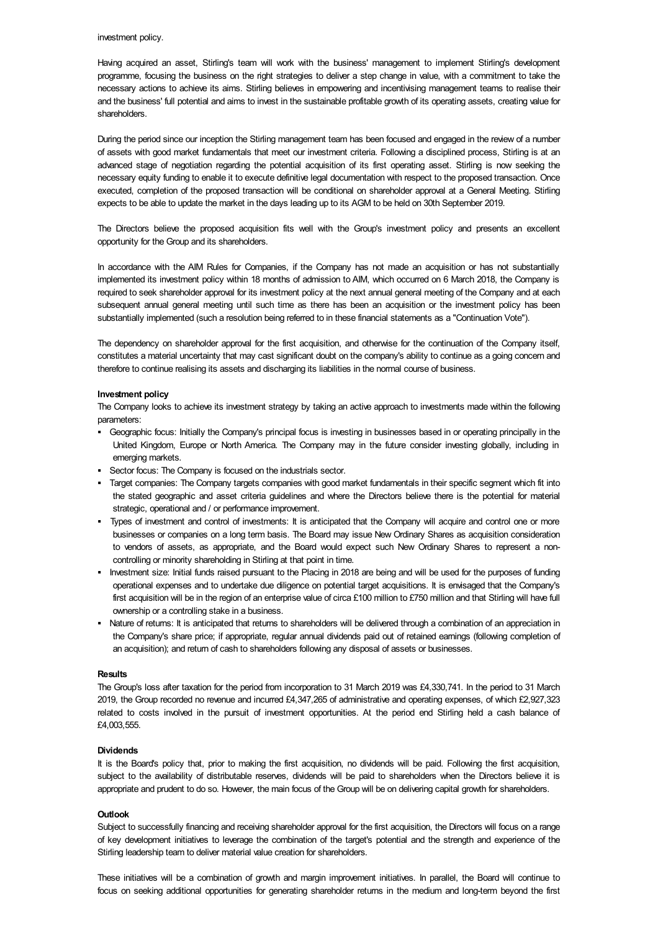### investment policy.

Having acquired an asset, Stirling's team will work with the business' management to implement Stirling's development programme, focusing the business on the right strategies to deliver a step change in value, with a commitment to take the necessary actions to achieve its aims. Stirling believes in empowering and incentivising management teams to realise their and the business' full potential and aims to invest in the sustainable profitable growth of its operating assets, creating value for shareholders.

During the period since our inception the Stirling management team has been focused and engaged in the review of a number of assets with good market fundamentals that meet our investment criteria. Following a disciplined process, Stirling is at an advanced stage of negotiation regarding the potential acquisition of its first operating asset. Stirling is now seeking the necessary equity funding to enable it to execute definitive legal documentation with respect to the proposed transaction. Once executed, completion of the proposed transaction will be conditional on shareholder approval at a General Meeting. Stirling expects to be able to update the market in the days leading up to its AGM to be held on 30th September 2019.

The Directors believe the proposed acquisition fits well with the Group's investment policy and presents an excellent opportunity for the Group and its shareholders.

In accordance with the AIM Rules for Companies, if the Company has not made an acquisition or has not substantially implemented its investment policy within 18 months of admission to AIM, which occurred on 6 March 2018, the Company is required to seek shareholder approval for its investment policy at the next annual general meeting of the Company and at each subsequent annual general meeting until such time as there has been an acquisition or the investment policy has been substantially implemented (such a resolution being referred to in these financial statements as a "Continuation Vote").

The dependency on shareholder approval for the first acquisition, and otherwise for the continuation of the Company itself, constitutes a material uncertainty that may cast significant doubt on the company's ability to continue as a going concern and therefore to continue realising its assets and discharging its liabilities in the normal course of business.

#### **Investment policy**

The Company looks to achieve its investment strategy by taking an active approach to investments made within the following parameters:

- § Geographic focus: Initially the Company's principal focus is investing in businesses based in or operating principally in the United Kingdom, Europe or North America. The Company may in the future consider investing globally, including in emerging markets.
- § Sector focus: The Company is focused on the industrials sector.
- Target companies: The Company targets companies with good market fundamentals in their specific segment which fit into the stated geographic and asset criteria guidelines and where the Directors believe there is the potential for material strategic, operational and / or performance improvement.
- § Types of investment and control of investments: It is anticipated that the Company will acquire and control one or more businesses or companies on a long term basis. The Board may issue New Ordinary Shares as acquisition consideration to vendors of assets, as appropriate, and the Board would expect such New Ordinary Shares to represent a noncontrolling or minority shareholding in Stirling at that point in time.
- § Investment size: Initial funds raised pursuant to the Placing in 2018 are being and will be used for the purposes of funding operational expenses and to undertake due diligence on potential target acquisitions. It is envisaged that the Company's first acquisition will be in the region of an enterprise value of circa £100 million to £750 million and that Stirling will have full ownership or a controlling stake in a business.
- Nature of returns: It is anticipated that returns to shareholders will be delivered through a combination of an appreciation in the Company's share price; if appropriate, regular annual dividends paid out of retained earnings (following completion of an acquisition); and return of cash to shareholders following any disposal of assets or businesses.

# **Results**

The Group's loss after taxation for the period from incorporation to 31 March 2019 was £4,330,741. In the period to 31 March 2019, the Group recorded no revenue and incurred £4,347,265 of administrative and operating expenses, of which £2,927,323 related to costs involved in the pursuit of investment opportunities. At the period end Stirling held a cash balance of £4,003,555.

### **Dividends**

It is the Board's policy that, prior to making the first acquisition, no dividends will be paid. Following the first acquisition, subject to the availability of distributable reserves, dividends will be paid to shareholders when the Directors believe it is appropriate and prudent to do so. However, the main focus of the Group will be on delivering capital growth for shareholders.

### **Outlook**

Subject to successfully financing and receiving shareholder approval for the first acquisition, the Directors will focus on a range of key development initiatives to leverage the combination of the target's potential and the strength and experience of the Stirling leadership team to deliver material value creation for shareholders.

These initiatives will be a combination of growth and margin improvement initiatives. In parallel, the Board will continue to focus on seeking additional opportunities for generating shareholder returns in the medium and long-term beyond the first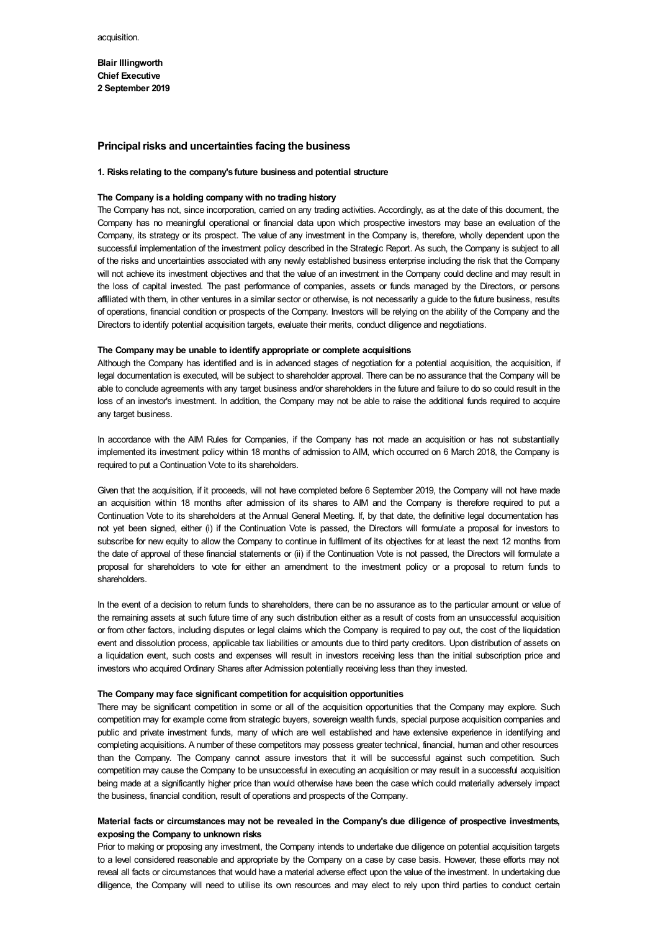**Blair Illingworth Chief Executive 2 September 2019**

### **Principal risks and uncertainties facing the business**

#### **1. Risks relating to the company's future business and potential structure**

#### **The Company is a holding company with no trading history**

The Company has not, since incorporation, carried on any trading activities. Accordingly, as at the date of this document, the Company has no meaningful operational or financial data upon which prospective investors may base an evaluation of the Company, its strategy or its prospect. The value of any investment in the Company is, therefore, wholly dependent upon the successful implementation of the investment policy described in the Strategic Report. As such, the Company is subject to all of the risks and uncertainties associated with any newly established business enterprise including the risk that the Company will not achieve its investment objectives and that the value of an investment in the Company could decline and may result in the loss of capital invested. The past performance of companies, assets or funds managed by the Directors, or persons affiliated with them, in other ventures in a similar sector or otherwise, is not necessarily a guide to the future business, results of operations, financial condition or prospects of the Company. Investors will be relying on the ability of the Company and the Directors to identify potential acquisition targets, evaluate their merits, conduct diligence and negotiations.

#### **The Company may be unable to identify appropriate or complete acquisitions**

Although the Company has identified and is in advanced stages of negotiation for a potential acquisition, the acquisition, if legal documentation is executed, will be subject to shareholder approval. There can be no assurance that the Company will be able to conclude agreements with any target business and/or shareholders in the future and failure to do so could result in the loss of an investor's investment. In addition, the Company may not be able to raise the additional funds required to acquire any target business.

In accordance with the AIM Rules for Companies, if the Company has not made an acquisition or has not substantially implemented its investment policy within 18 months of admission to AIM, which occurred on 6 March 2018, the Company is required to put a Continuation Vote to its shareholders.

Given that the acquisition, if it proceeds, will not have completed before 6 September 2019, the Company will not have made an acquisition within 18 months after admission of its shares to AIM and the Company is therefore required to put a Continuation Vote to its shareholders at the Annual General Meeting. If, by that date, the definitive legal documentation has not yet been signed, either (i) if the Continuation Vote is passed, the Directors will formulate a proposal for investors to subscribe for new equity to allow the Company to continue in fulfilment of its objectives for at least the next 12 months from the date of approval of these financial statements or (ii) if the Continuation Vote is not passed, the Directors will formulate a proposal for shareholders to vote for either an amendment to the investment policy or a proposal to return funds to shareholders.

In the event of a decision to return funds to shareholders, there can be no assurance as to the particular amount or value of the remaining assets at such future time of any such distribution either as a result of costs from an unsuccessful acquisition or from other factors, including disputes or legal claims which the Company is required to pay out, the cost of the liquidation event and dissolution process, applicable tax liabilities or amounts due to third party creditors. Upon distribution of assets on a liquidation event, such costs and expenses will result in investors receiving less than the initial subscription price and investors who acquired Ordinary Shares after Admission potentially receiving less than they invested.

### **The Company may face significant competition for acquisition opportunities**

There may be significant competition in some or all of the acquisition opportunities that the Company may explore. Such competition may for example come from strategic buyers, sovereign wealth funds, special purpose acquisition companies and public and private investment funds, many of which are well established and have extensive experience in identifying and completing acquisitions. A number of these competitors may possess greater technical, financial, human and other resources than the Company. The Company cannot assure investors that it will be successful against such competition. Such competition may cause the Company to be unsuccessful in executing an acquisition or may result in a successful acquisition being made at a significantly higher price than would otherwise have been the case which could materially adversely impact the business, financial condition, result of operations and prospects of the Company.

# **Material facts or circumstances may not be revealed in the Company's due diligence of prospective investments, exposing the Company to unknown risks**

Prior to making or proposing any investment, the Company intends to undertake due diligence on potential acquisition targets to a level considered reasonable and appropriate by the Company on a case by case basis. However, these efforts may not reveal all facts or circumstances that would have a material adverse effect upon the value of the investment. In undertaking due diligence, the Company will need to utilise its own resources and may elect to rely upon third parties to conduct certain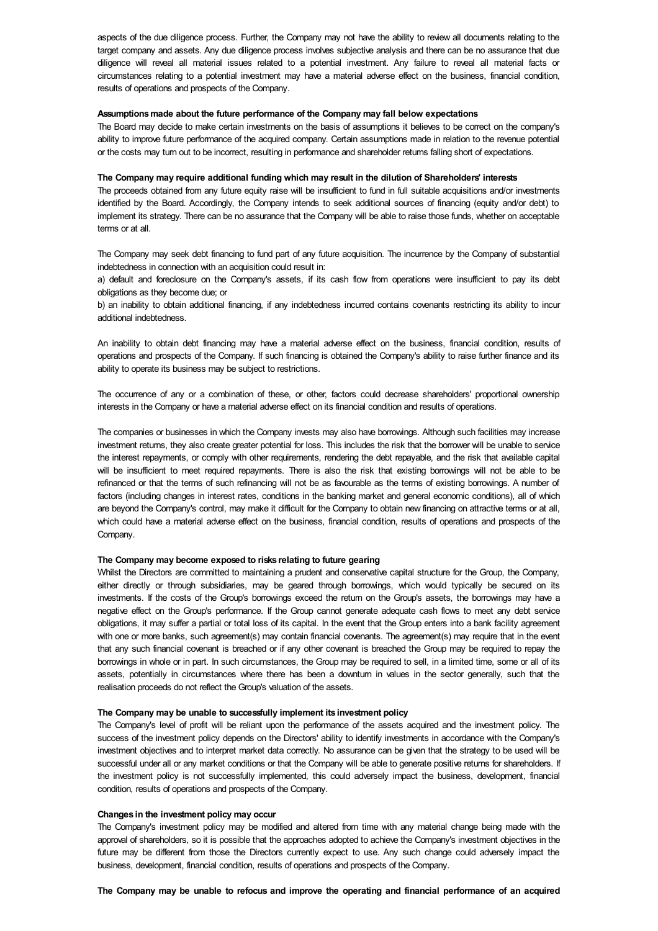aspects of the due diligence process. Further, the Company may not have the ability to review all documents relating to the target company and assets. Any due diligence process involves subjective analysis and there can be no assurance that due diligence will reveal all material issues related to a potential investment. Any failure to reveal all material facts or circumstances relating to a potential investment may have a material adverse effect on the business, financial condition, results of operations and prospects of the Company.

### **Assumptionsmade about the future performance of the Company may fall below expectations**

The Board may decide to make certain investments on the basis of assumptions it believes to be correct on the company's ability to improve future performance of the acquired company. Certain assumptions made in relation to the revenue potential or the costs may turn out to be incorrect, resulting in performance and shareholder returns falling short of expectations.

# **The Company may require additional funding which may result in the dilution of Shareholders' interests**

The proceeds obtained from any future equity raise will be insufficient to fund in full suitable acquisitions and/or investments identified by the Board. Accordingly, the Company intends to seek additional sources of financing (equity and/or debt) to implement its strategy. There can be no assurance that the Company will be able to raise those funds, whether on acceptable terms or at all.

The Company may seek debt financing to fund part of any future acquisition. The incurrence by the Company of substantial indebtedness in connection with an acquisition could result in:

a) default and foreclosure on the Company's assets, if its cash flow from operations were insufficient to pay its debt obligations as they become due; or

b) an inability to obtain additional financing, if any indebtedness incurred contains covenants restricting its ability to incur additional indebtedness.

An inability to obtain debt financing may have a material adverse effect on the business, financial condition, results of operations and prospects of the Company. If such financing is obtained the Company's ability to raise further finance and its ability to operate its business may be subject to restrictions.

The occurrence of any or a combination of these, or other, factors could decrease shareholders' proportional ownership interests in the Company or have a material adverse effect on its financial condition and results of operations.

The companies or businesses in which the Company invests may also have borrowings. Although such facilities may increase investment returns, they also create greater potential for loss. This includes the risk that the borrower will be unable to service the interest repayments, or comply with other requirements, rendering the debt repayable, and the risk that available capital will be insufficient to meet required repayments. There is also the risk that existing borrowings will not be able to be refinanced or that the terms of such refinancing will not be as favourable as the terms of existing borrowings. A number of factors (including changes in interest rates, conditions in the banking market and general economic conditions), all of which are beyond the Company's control, may make it difficult for the Company to obtain new financing on attractive terms or at all, which could have a material adverse effect on the business, financial condition, results of operations and prospects of the Company.

#### **The Company may become exposed to risks relating to future gearing**

Whilst the Directors are committed to maintaining a prudent and conservative capital structure for the Group, the Company, either directly or through subsidiaries, may be geared through borrowings, which would typically be secured on its investments. If the costs of the Group's borrowings exceed the return on the Group's assets, the borrowings may have a negative effect on the Group's performance. If the Group cannot generate adequate cash flows to meet any debt service obligations, it may suffer a partial or total loss of its capital. In the event that the Group enters into a bank facility agreement with one or more banks, such agreement(s) may contain financial covenants. The agreement(s) may require that in the event that any such financial covenant is breached or if any other covenant is breached the Group may be required to repay the borrowings in whole or in part. In such circumstances, the Group may be required to sell, in a limited time, some or all of its assets, potentially in circumstances where there has been a downturn in values in the sector generally, such that the realisation proceeds do not reflect the Group's valuation of the assets.

#### **The Company may be unable to successfully implement its investment policy**

The Company's level of profit will be reliant upon the performance of the assets acquired and the investment policy. The success of the investment policy depends on the Directors' ability to identify investments in accordance with the Company's investment objectives and to interpret market data correctly. No assurance can be given that the strategy to be used will be successful under all or any market conditions or that the Company will be able to generate positive returns for shareholders. If the investment policy is not successfully implemented, this could adversely impact the business, development, financial condition, results of operations and prospects of the Company.

#### **Changes in the investment policy may occur**

The Company's investment policy may be modified and altered from time with any material change being made with the approval of shareholders, so it is possible that the approaches adopted to achieve the Company's investment objectives in the future may be different from those the Directors currently expect to use. Any such change could adversely impact the business, development, financial condition, results of operations and prospects of the Company.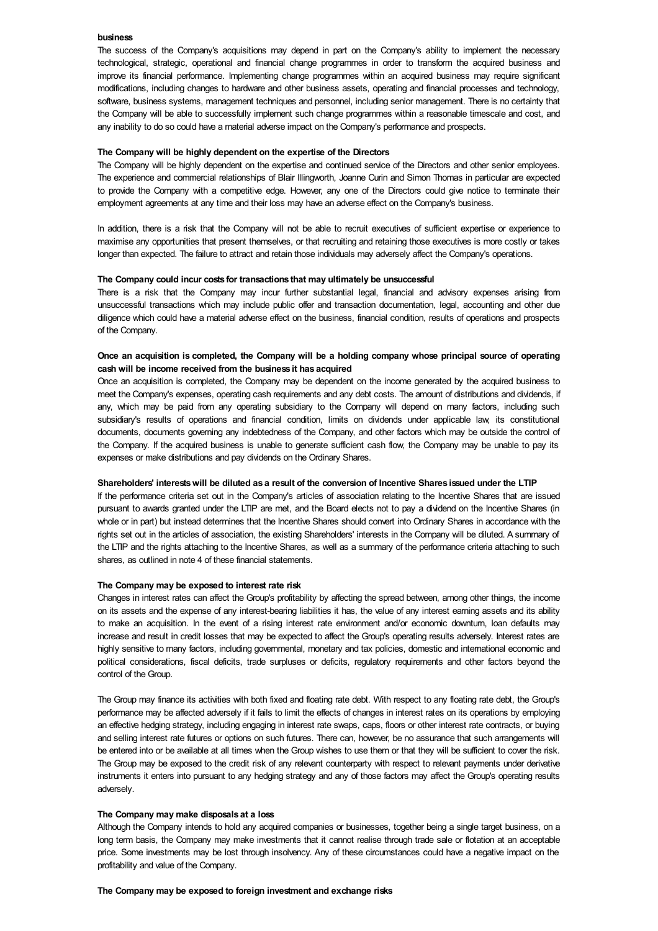### **business**

The success of the Company's acquisitions may depend in part on the Company's ability to implement the necessary technological, strategic, operational and financial change programmes in order to transform the acquired business and improve its financial performance. Implementing change programmes within an acquired business may require significant modifications, including changes to hardware and other business assets, operating and financial processes and technology, software, business systems, management techniques and personnel, including senior management. There is no certainty that the Company will be able to successfully implement such change programmes within a reasonable timescale and cost, and any inability to do so could have a material adverse impact on the Company's performance and prospects.

### **The Company will be highly dependent on the expertise of the Directors**

The Company will be highly dependent on the expertise and continued service of the Directors and other senior employees. The experience and commercial relationships of Blair Illingworth, Joanne Curin and Simon Thomas in particular are expected to provide the Company with a competitive edge. However, any one of the Directors could give notice to terminate their employment agreements at any time and their loss may have an adverse effect on the Company's business.

In addition, there is a risk that the Company will not be able to recruit executives of sufficient expertise or experience to maximise any opportunities that present themselves, or that recruiting and retaining those executives is more costly or takes longer than expected. The failure to attract and retain those individuals may adversely affect the Company's operations.

### **The Company could incur costs for transactions that may ultimately be unsuccessful**

There is a risk that the Company may incur further substantial legal, financial and advisory expenses arising from unsuccessful transactions which may include public offer and transaction documentation, legal, accounting and other due diligence which could have a material adverse effect on the business, financial condition, results of operations and prospects of the Company.

# Once an acquisition is completed, the Company will be a holding company whose principal source of operating **cash will be income received from the business it has acquired**

Once an acquisition is completed, the Company may be dependent on the income generated by the acquired business to meet the Company's expenses, operating cash requirements and any debt costs. The amount of distributions and dividends, if any, which may be paid from any operating subsidiary to the Company will depend on many factors, including such subsidiary's results of operations and financial condition, limits on dividends under applicable law, its constitutional documents, documents governing any indebtedness of the Company, and other factors which may be outside the control of the Company. If the acquired business is unable to generate sufficient cash flow, the Company may be unable to pay its expenses or make distributions and pay dividends on the Ordinary Shares.

#### Shareholders' interests will be diluted as a result of the conversion of Incentive Shares issued under the LTIP

If the performance criteria set out in the Company's articles of association relating to the Incentive Shares that are issued pursuant to awards granted under the LTIP are met, and the Board elects not to pay a dividend on the Incentive Shares (in whole or in part) but instead determines that the Incentive Shares should convert into Ordinary Shares in accordance with the rights set out in the articles of association, the existing Shareholders' interests in the Company will be diluted. A summary of the LTIP and the rights attaching to the Incentive Shares, as well as a summary of the performance criteria attaching to such shares, as outlined in note 4 of these financial statements.

### **The Company may be exposed to interest rate risk**

Changes in interest rates can affect the Group's profitability by affecting the spread between, among other things, the income on its assets and the expense of any interest-bearing liabilities it has, the value of any interest earning assets and its ability to make an acquisition. In the event of a rising interest rate environment and/or economic downturn, loan defaults may increase and result in credit losses that may be expected to affect the Group's operating results adversely. Interest rates are highly sensitive to many factors, including governmental, monetary and tax policies, domestic and international economic and political considerations, fiscal deficits, trade surpluses or deficits, regulatory requirements and other factors beyond the control of the Group.

The Group may finance its activities with both fixed and floating rate debt. With respect to any floating rate debt, the Group's performance may be affected adversely if it fails to limit the effects of changes in interest rates on its operations by employing an effective hedging strategy, including engaging in interest rate swaps, caps, floors or other interest rate contracts, or buying and selling interest rate futures or options on such futures. There can, however, be no assurance that such arrangements will be entered into or be available at all times when the Group wishes to use them or that they will be sufficient to cover the risk. The Group may be exposed to the credit risk of any relevant counterparty with respect to relevant payments under derivative instruments it enters into pursuant to any hedging strategy and any of those factors may affect the Group's operating results adversely.

### **The Company may make disposals at a loss**

Although the Company intends to hold any acquired companies or businesses, together being a single target business, on a long term basis, the Company may make investments that it cannot realise through trade sale or flotation at an acceptable price. Some investments may be lost through insolvency. Any of these circumstances could have a negative impact on the profitability and value of the Company.

# **The Company may be exposed to foreign investment and exchange risks**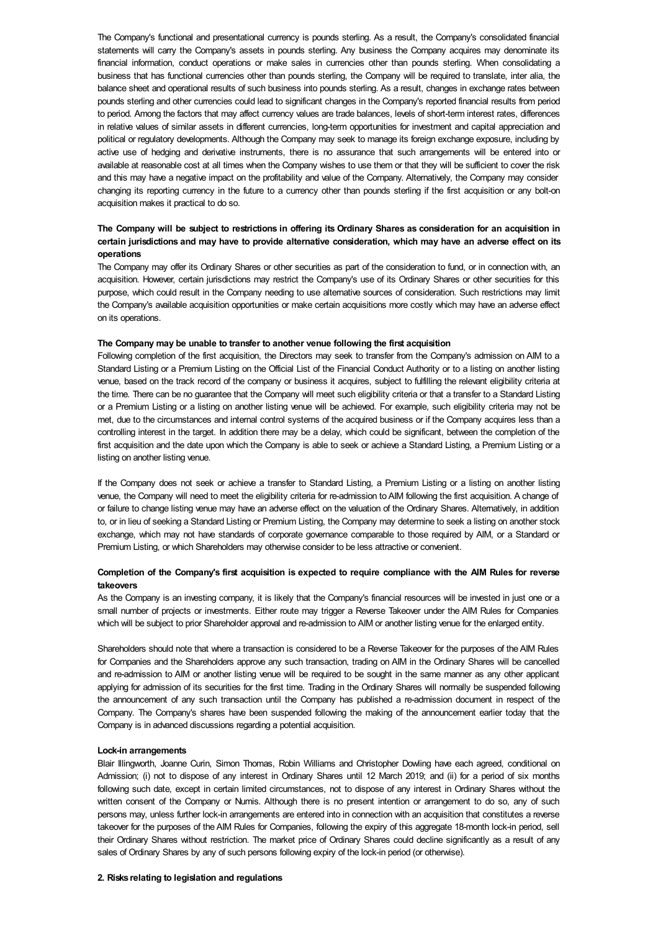The Company's functional and presentational currency is pounds sterling. As a result, the Company's consolidated financial statements will carry the Company's assets in pounds sterling. Any business the Company acquires may denominate its financial information, conduct operations or make sales in currencies other than pounds sterling. When consolidating a business that has functional currencies other than pounds sterling, the Company will be required to translate, inter alia, the balance sheet and operational results of such business into pounds sterling. As a result, changes in exchange rates between pounds sterling and other currencies could lead to significant changes in the Company's reported financial results from period to period. Among the factors that may affect currency values are trade balances, levels of short-term interest rates, differences in relative values of similar assets in different currencies, long-term opportunities for investment and capital appreciation and political or regulatory developments. Although the Company may seek to manage its foreign exchange exposure, including by active use of hedging and derivative instruments, there is no assurance that such arrangements will be entered into or available at reasonable cost at all times when the Company wishes to use them or that they will be sufficient to cover the risk and this may have a negative impact on the profitability and value of the Company. Alternatively, the Company may consider changing its reporting currency in the future to a currency other than pounds sterling if the first acquisition or any bolt-on acquisition makes it practical to do so.

# The Company will be subject to restrictions in offering its Ordinary Shares as consideration for an acquisition in certain jurisdictions and may have to provide alternative consideration, which may have an adverse effect on its **operations**

The Company may offer its Ordinary Shares or other securities as part of the consideration to fund, or in connection with, an acquisition. However, certain jurisdictions may restrict the Company's use of its Ordinary Shares or other securities for this purpose, which could result in the Company needing to use alternative sources of consideration. Such restrictions may limit the Company's available acquisition opportunities or make certain acquisitions more costly which may have an adverse effect on its operations.

### **The Company may be unable to transfer to another venue following the first acquisition**

Following completion of the first acquisition, the Directors may seek to transfer from the Company's admission on AIM to a Standard Listing or a Premium Listing on the Official List of the Financial Conduct Authority or to a listing on another listing venue, based on the track record of the company or business it acquires, subject to fulfilling the relevant eligibility criteria at the time. There can be no guarantee that the Company will meet such eligibility criteria or that a transfer to a Standard Listing or a Premium Listing or a listing on another listing venue will be achieved. For example, such eligibility criteria may not be met, due to the circumstances and internal control systems of the acquired business or if the Company acquires less than a controlling interest in the target. In addition there may be a delay, which could be significant, between the completion of the first acquisition and the date upon which the Company is able to seek or achieve a Standard Listing, a Premium Listing or a listing on another listing venue.

If the Company does not seek or achieve a transfer to Standard Listing, a Premium Listing or a listing on another listing venue, the Company will need to meet the eligibility criteria for re-admission to AIM following the first acquisition. A change of or failure to change listing venue may have an adverse effect on the valuation of the Ordinary Shares. Alternatively, in addition to, or in lieu of seeking a Standard Listing or Premium Listing, the Company may determine to seek a listing on another stock exchange, which may not have standards of corporate governance comparable to those required by AIM, or a Standard or Premium Listing, or which Shareholders may otherwise consider to be less attractive or convenient.

# Completion of the Company's first acquisition is expected to require compliance with the AIM Rules for reverse **takeovers**

As the Company is an investing company, it is likely that the Company's financial resources will be invested in just one or a small number of projects or investments. Either route may trigger a Reverse Takeover under the AIM Rules for Companies which will be subject to prior Shareholder approval and re-admission to AIM or another listing venue for the enlarged entity.

Shareholders should note that where a transaction is considered to be a Reverse Takeover for the purposes of the AIM Rules for Companies and the Shareholders approve any such transaction, trading on AIM in the Ordinary Shares will be cancelled and re-admission to AIM or another listing venue will be required to be sought in the same manner as any other applicant applying for admission of its securities for the first time. Trading in the Ordinary Shares will normally be suspended following the announcement of any such transaction until the Company has published a re-admission document in respect of the Company. The Company's shares have been suspended following the making of the announcement earlier today that the Company is in advanced discussions regarding a potential acquisition.

### **Lock-in arrangements**

Blair Illingworth, Joanne Curin, Simon Thomas, Robin Williams and Christopher Dowling have each agreed, conditional on Admission; (i) not to dispose of any interest in Ordinary Shares until 12 March 2019; and (ii) for a period of six months following such date, except in certain limited circumstances, not to dispose of any interest in Ordinary Shares without the written consent of the Company or Numis. Although there is no present intention or arrangement to do so, any of such persons may, unless further lock-in arrangements are entered into in connection with an acquisition that constitutes a reverse takeover for the purposes of the AIM Rules for Companies, following the expiry of this aggregate 18-month lock-in period, sell their Ordinary Shares without restriction. The market price of Ordinary Shares could decline significantly as a result of any sales of Ordinary Shares by any of such persons following expiry of the lock-in period (or otherwise).

# **2. Risks relating to legislation and regulations**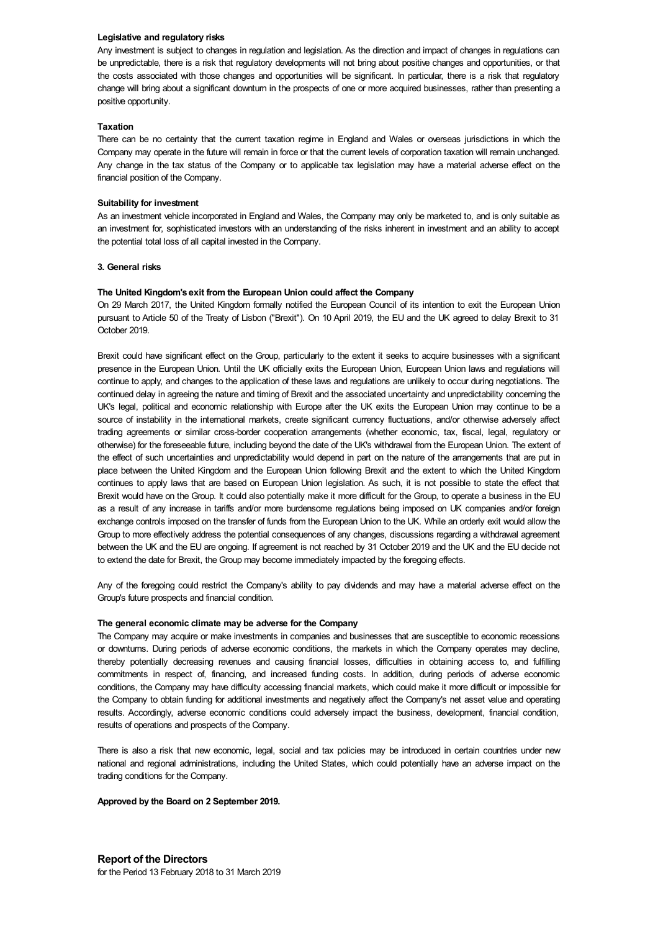## **Legislative and regulatory risks**

Any investment is subject to changes in regulation and legislation. As the direction and impact of changes in regulations can be unpredictable, there is a risk that regulatory developments will not bring about positive changes and opportunities, or that the costs associated with those changes and opportunities will be significant. In particular, there is a risk that regulatory change will bring about a significant downturn in the prospects of one or more acquired businesses, rather than presenting a positive opportunity.

### **Taxation**

There can be no certainty that the current taxation regime in England and Wales or overseas jurisdictions in which the Company may operate in the future will remain in force or that the current levels of corporation taxation will remain unchanged. Any change in the tax status of the Company or to applicable tax legislation may have a material adverse effect on the financial position of the Company.

### **Suitability for investment**

As an investment vehicle incorporated in England and Wales, the Company may only be marketed to, and is only suitable as an investment for, sophisticated investors with an understanding of the risks inherent in investment and an ability to accept the potential total loss of all capital invested in the Company.

### **3. General risks**

# **The United Kingdom's exit from the European Union could affect the Company**

On 29 March 2017, the United Kingdom formally notified the European Council of its intention to exit the European Union pursuant to Article 50 of the Treaty of Lisbon ("Brexit"). On 10 April 2019, the EU and the UK agreed to delay Brexit to 31 October 2019.

Brexit could have significant effect on the Group, particularly to the extent it seeks to acquire businesses with a significant presence in the European Union. Until the UK officially exits the European Union, European Union laws and regulations will continue to apply, and changes to the application of these laws and regulations are unlikely to occur during negotiations. The continued delay in agreeing the nature and timing of Brexit and the associated uncertainty and unpredictability concerning the UK's legal, political and economic relationship with Europe after the UK exits the European Union may continue to be a source of instability in the international markets, create significant currency fluctuations, and/or otherwise adversely affect trading agreements or similar cross-border cooperation arrangements (whether economic, tax, fiscal, legal, regulatory or otherwise) for the foreseeable future, including beyond the date of the UK's withdrawal from the European Union. The extent of the effect of such uncertainties and unpredictability would depend in part on the nature of the arrangements that are put in place between the United Kingdom and the European Union following Brexit and the extent to which the United Kingdom continues to apply laws that are based on European Union legislation. As such, it is not possible to state the effect that Brexit would have on the Group. It could also potentially make it more difficult for the Group, to operate a business in the EU as a result of any increase in tariffs and/or more burdensome regulations being imposed on UK companies and/or foreign exchange controls imposed on the transfer of funds from the European Union to the UK. While an orderly exit would allow the Group to more effectively address the potential consequences of any changes, discussions regarding a withdrawal agreement between the UK and the EU are ongoing. If agreement is not reached by 31 October 2019 and the UK and the EU decide not to extend the date for Brexit, the Group may become immediately impacted by the foregoing effects.

Any of the foregoing could restrict the Company's ability to pay dividends and may have a material adverse effect on the Group's future prospects and financial condition.

## **The general economic climate may be adverse for the Company**

The Company may acquire or make investments in companies and businesses that are susceptible to economic recessions or downturns. During periods of adverse economic conditions, the markets in which the Company operates may decline, thereby potentially decreasing revenues and causing financial losses, difficulties in obtaining access to, and fulfilling commitments in respect of, financing, and increased funding costs. In addition, during periods of adverse economic conditions, the Company may have difficulty accessing financial markets, which could make it more difficult or impossible for the Company to obtain funding for additional investments and negatively affect the Company's net asset value and operating results. Accordingly, adverse economic conditions could adversely impact the business, development, financial condition, results of operations and prospects of the Company.

There is also a risk that new economic, legal, social and tax policies may be introduced in certain countries under new national and regional administrations, including the United States, which could potentially have an adverse impact on the trading conditions for the Company.

### **Approved by the Board on 2 September 2019.**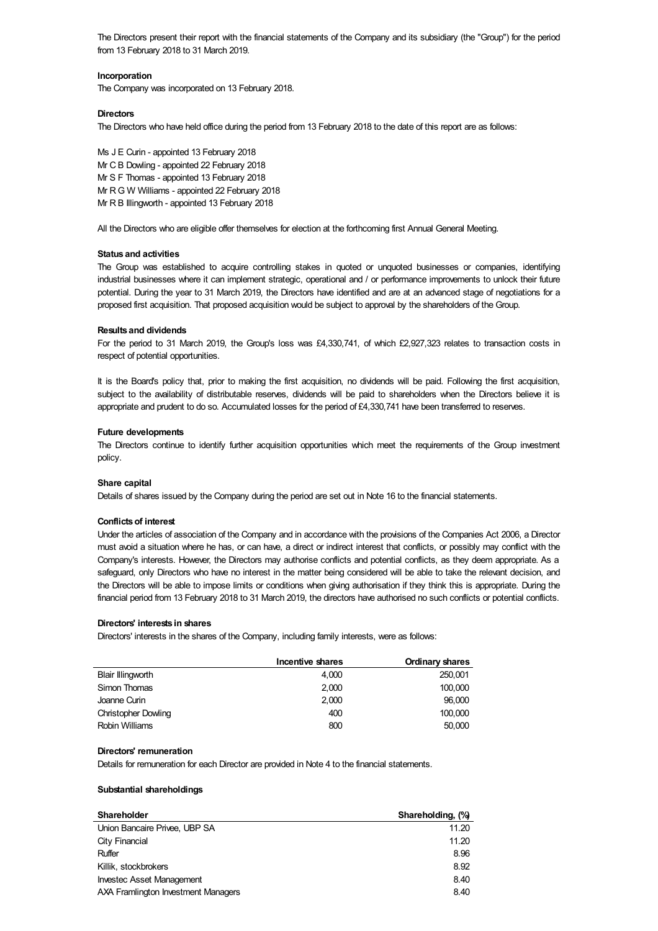The Directors present their report with the financial statements of the Company and its subsidiary (the "Group") for the period from 13 February 2018 to 31 March 2019.

# **Incorporation**

The Company was incorporated on 13 February 2018.

# **Directors**

The Directors who have held office during the period from 13 February 2018 to the date of this report are as follows:

Ms J E Curin - appointed 13 February 2018 Mr C B Dowling - appointed 22 February 2018 Mr S F Thomas - appointed 13 February 2018 Mr RG W Williams - appointed 22 February 2018 Mr R B Illingworth - appointed 13 February 2018

All the Directors who are eligible offer themselves for election at the forthcoming first Annual General Meeting.

# **Status and activities**

The Group was established to acquire controlling stakes in quoted or unquoted businesses or companies, identifying industrial businesses where it can implement strategic, operational and / or performance improvements to unlock their future potential. During the year to 31 March 2019, the Directors have identified and are at an advanced stage of negotiations for a proposed first acquisition. That proposed acquisition would be subject to approval by the shareholders of the Group.

### **Results and dividends**

For the period to 31 March 2019, the Group's loss was £4,330,741, of which £2,927,323 relates to transaction costs in respect of potential opportunities.

It is the Board's policy that, prior to making the first acquisition, no dividends will be paid. Following the first acquisition, subject to the availability of distributable reserves, dividends will be paid to shareholders when the Directors believe it is appropriate and prudent to do so. Accumulated losses for the period of £4,330,741 have been transferred to reserves.

# **Future developments**

The Directors continue to identify further acquisition opportunities which meet the requirements of the Group investment policy.

### **Share capital**

Details of shares issued by the Company during the period are set out in Note 16 to the financial statements.

### **Conflictsof interest**

Under the articles of association of the Company and in accordance with the provisions of the Companies Act 2006, a Director must avoid a situation where he has, or can have, a direct or indirect interest that conflicts, or possibly may conflict with the Company's interests. However, the Directors may authorise conflicts and potential conflicts, as they deem appropriate. As a safeguard, only Directors who have no interest in the matter being considered will be able to take the relevant decision, and the Directors will be able to impose limits or conditions when giving authorisation if they think this is appropriate. During the financial period from 13 February 2018 to 31 March 2019, the directors have authorised no such conflicts or potential conflicts.

# **Directors' interests in shares**

Directors' interests in the shares of the Company, including family interests, were as follows:

|                            | Incentive shares | Ordinary shares |
|----------------------------|------------------|-----------------|
| <b>Blair Illingworth</b>   | 4.000            | 250,001         |
| Simon Thomas               | 2.000            | 100,000         |
| Joanne Curin               | 2.000            | 96,000          |
| <b>Christopher Dowling</b> | 400              | 100,000         |
| <b>Robin Williams</b>      | 800              | 50,000          |

### **Directors' remuneration**

Details for remuneration for each Director are provided in Note 4 to the financial statements.

# **Substantial shareholdings**

| Shareholder                         | Shareholding, (%) |
|-------------------------------------|-------------------|
| Union Bancaire Privee, UBP SA       | 11.20             |
| City Financial                      | 11.20             |
| Ruffer                              | 8.96              |
| Killik, stockbrokers                | 8.92              |
| <b>Investec Asset Management</b>    | 8.40              |
| AXA Framlington Investment Managers | 8.40              |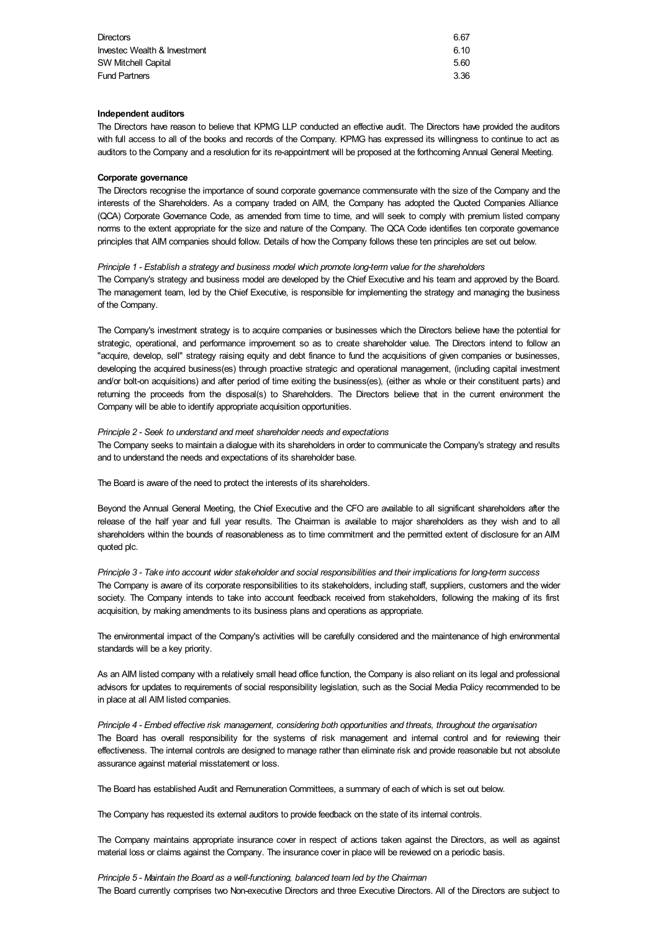| <b>Directors</b>             | 6.67 |
|------------------------------|------|
| Investec Wealth & Investment | 6.10 |
| <b>SW Mitchell Capital</b>   | 5.60 |
| <b>Fund Partners</b>         | 3.36 |

## **Independent auditors**

The Directors have reason to believe that KPMG LLP conducted an effective audit. The Directors have provided the auditors with full access to all of the books and records of the Company. KPMG has expressed its willingness to continue to act as auditors to the Company and a resolution for its re-appointment will be proposed at the forthcoming Annual General Meeting.

### **Corporate governance**

The Directors recognise the importance of sound corporate governance commensurate with the size of the Company and the interests of the Shareholders. As a company traded on AIM, the Company has adopted the Quoted Companies Alliance (QCA) Corporate Governance Code, as amended from time to time, and will seek to comply with premium listed company norms to the extent appropriate for the size and nature of the Company. The QCA Code identifies ten corporate governance principles that AIM companies should follow. Details of how the Company follows these ten principles are set out below.

### *Principle 1 - Establish a strategy and business model which promote long-term value for the shareholders*

The Company's strategy and business model are developed by the Chief Executive and his team and approved by the Board. The management team, led by the Chief Executive, is responsible for implementing the strategy and managing the business of the Company.

The Company's investment strategy is to acquire companies or businesses which the Directors believe have the potential for strategic, operational, and performance improvement so as to create shareholder value. The Directors intend to follow an "acquire, develop, sell" strategy raising equity and debt finance to fund the acquisitions of given companies or businesses, developing the acquired business(es) through proactive strategic and operational management, (including capital investment and/or bolt-on acquisitions) and after period of time exiting the business(es), (either as whole or their constituent parts) and returning the proceeds from the disposal(s) to Shareholders. The Directors believe that in the current environment the Company will be able to identify appropriate acquisition opportunities.

# *Principle 2 - Seek to understand and meet shareholder needs and expectations*

The Company seeks to maintain a dialogue with its shareholders in order to communicate the Company's strategy and results and to understand the needs and expectations of its shareholder base.

The Board is aware of the need to protect the interests of its shareholders.

Beyond the Annual General Meeting, the Chief Executive and the CFO are available to all significant shareholders after the release of the half year and full year results. The Chairman is available to major shareholders as they wish and to all shareholders within the bounds of reasonableness as to time commitment and the permitted extent of disclosure for an AIM quoted plc.

Principle 3 - Take into account wider stakeholder and social responsibilities and their implications for long-term success The Company is aware of its corporate responsibilities to its stakeholders, including staff, suppliers, customers and the wider society. The Company intends to take into account feedback received from stakeholders, following the making of its first acquisition, by making amendments to its business plans and operations as appropriate.

The environmental impact of the Company's activities will be carefully considered and the maintenance of high environmental standards will be a key priority.

As an AIM listed company with a relatively small head office function, the Company is also reliant on its legal and professional advisors for updates to requirements of social responsibility legislation, such as the Social Media Policy recommended to be in place at all AIM listed companies.

*Principle 4 - Embed effective risk management, considering both opportunities and threats, throughout the organisation* The Board has overall responsibility for the systems of risk management and internal control and for reviewing their effectiveness. The internal controls are designed to manage rather than eliminate risk and provide reasonable but not absolute assurance against material misstatement or loss.

The Board has established Audit and Remuneration Committees, a summary of each of which is set out below.

The Company has requested its external auditors to provide feedback on the state of its internal controls.

The Company maintains appropriate insurance cover in respect of actions taken against the Directors, as well as against material loss or claims against the Company. The insurance cover in place will be reviewed on a periodic basis.

*Principle 5 - Maintain the Board as a well-functioning, balanced team led by the Chairman* The Board currently comprises two Non-executive Directors and three Executive Directors. All of the Directors are subject to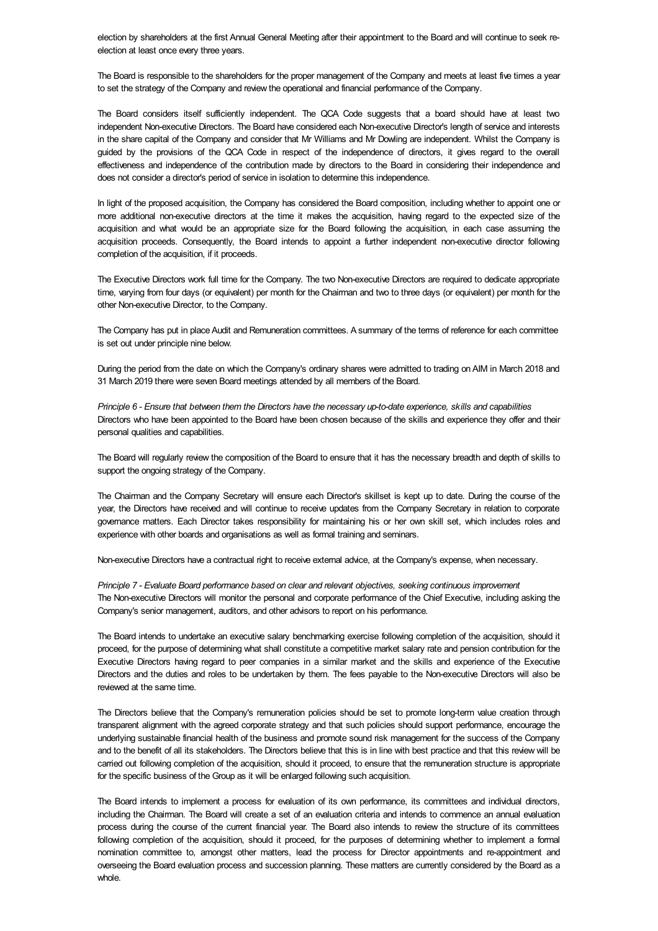election by shareholders at the first Annual General Meeting after their appointment to the Board and will continue to seek reelection at least once every three years.

The Board is responsible to the shareholders for the proper management of the Company and meets at least five times a year to set the strategy of the Company and review the operational and financial performance of the Company.

The Board considers itself sufficiently independent. The QCA Code suggests that a board should have at least two independent Non-executive Directors. The Board have considered each Non-executive Director's length of service and interests in the share capital of the Company and consider that Mr Williams and Mr Dowling are independent. Whilst the Company is guided by the provisions of the QCA Code in respect of the independence of directors, it gives regard to the overall effectiveness and independence of the contribution made by directors to the Board in considering their independence and does not consider a director's period of service in isolation to determine this independence.

In light of the proposed acquisition, the Company has considered the Board composition, including whether to appoint one or more additional non-executive directors at the time it makes the acquisition, having regard to the expected size of the acquisition and what would be an appropriate size for the Board following the acquisition, in each case assuming the acquisition proceeds. Consequently, the Board intends to appoint a further independent non-executive director following completion of the acquisition, if it proceeds.

The Executive Directors work full time for the Company. The two Non-executive Directors are required to dedicate appropriate time, varying from four days (or equivalent) per month for the Chairman and two to three days (or equivalent) per month for the other Non-executive Director, to the Company.

The Company has put in place Audit and Remuneration committees. A summary of the terms of reference for each committee is set out under principle nine below.

During the period from the date on which the Company's ordinary shares were admitted to trading on AIM in March 2018 and 31 March 2019 there were seven Board meetings attended by all members of the Board.

Principle 6 - Ensure that between them the Directors have the necessary up-to-date experience, skills and capabilities Directors who have been appointed to the Board have been chosen because of the skills and experience they offer and their personal qualities and capabilities.

The Board will regularly review the composition of the Board to ensure that it has the necessary breadth and depth of skills to support the ongoing strategy of the Company.

The Chairman and the Company Secretary will ensure each Director's skillset is kept up to date. During the course of the year, the Directors have received and will continue to receive updates from the Company Secretary in relation to corporate governance matters. Each Director takes responsibility for maintaining his or her own skill set, which includes roles and experience with other boards and organisations as well as formal training and seminars.

Non-executive Directors have a contractual right to receive external advice, at the Company's expense, when necessary.

*Principle 7 - Evaluate Board performance based on clear and relevant objectives, seeking continuous improvement* The Non-executive Directors will monitor the personal and corporate performance of the Chief Executive, including asking the Company's senior management, auditors, and other advisors to report on his performance.

The Board intends to undertake an executive salary benchmarking exercise following completion of the acquisition, should it proceed, for the purpose of determining what shall constitute a competitive market salary rate and pension contribution for the Executive Directors having regard to peer companies in a similar market and the skills and experience of the Executive Directors and the duties and roles to be undertaken by them. The fees payable to the Non-executive Directors will also be reviewed at the same time.

The Directors believe that the Company's remuneration policies should be set to promote long-term value creation through transparent alignment with the agreed corporate strategy and that such policies should support performance, encourage the underlying sustainable financial health of the business and promote sound risk management for the success of the Company and to the benefit of all its stakeholders. The Directors believe that this is in line with best practice and that this review will be carried out following completion of the acquisition, should it proceed, to ensure that the remuneration structure is appropriate for the specific business of the Group as it will be enlarged following such acquisition.

The Board intends to implement a process for evaluation of its own performance, its committees and individual directors, including the Chairman. The Board will create a set of an evaluation criteria and intends to commence an annual evaluation process during the course of the current financial year. The Board also intends to review the structure of its committees following completion of the acquisition, should it proceed, for the purposes of determining whether to implement a formal nomination committee to, amongst other matters, lead the process for Director appointments and re-appointment and overseeing the Board evaluation process and succession planning. These matters are currently considered by the Board as a whole.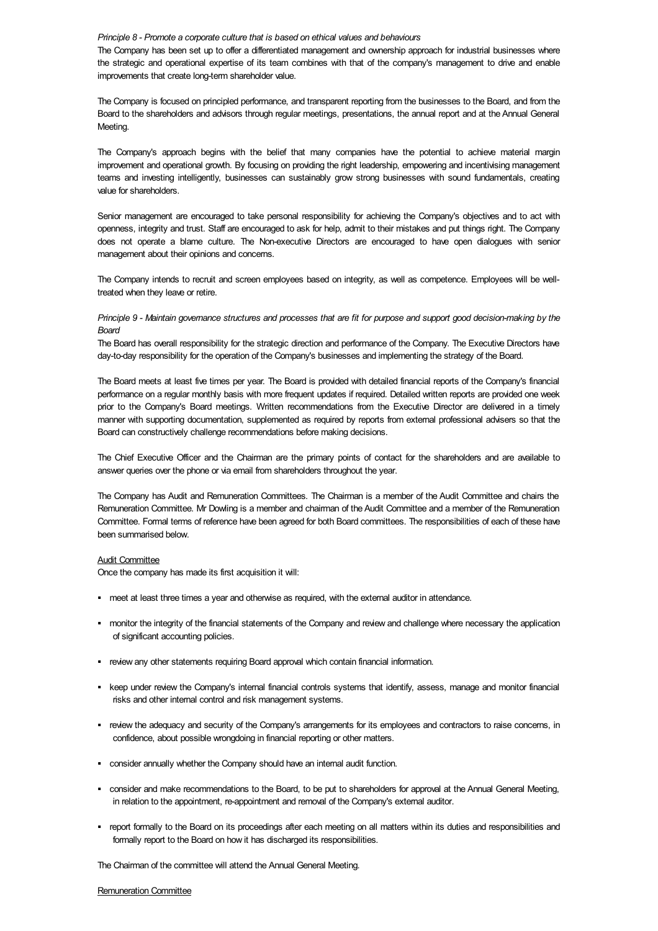#### *Principle 8 - Promote a corporate culture that is based on ethical values and behaviours*

The Company has been set up to offer a differentiated management and ownership approach for industrial businesses where the strategic and operational expertise of its team combines with that of the company's management to drive and enable improvements that create long-term shareholder value.

The Company is focused on principled performance, and transparent reporting from the businesses to the Board, and from the Board to the shareholders and advisors through regular meetings, presentations, the annual report and at the Annual General Meeting.

The Company's approach begins with the belief that many companies have the potential to achieve material margin improvement and operational growth. By focusing on providing the right leadership, empowering and incentivising management teams and investing intelligently, businesses can sustainably grow strong businesses with sound fundamentals, creating value for shareholders.

Senior management are encouraged to take personal responsibility for achieving the Company's objectives and to act with openness, integrity and trust. Staff are encouraged to ask for help, admit to their mistakes and put things right. The Company does not operate a blame culture. The Non-executive Directors are encouraged to have open dialogues with senior management about their opinions and concerns.

The Company intends to recruit and screen employees based on integrity, as well as competence. Employees will be welltreated when they leave or retire.

# Principle 9 - Maintain governance structures and processes that are fit for purpose and support good decision-making by the *Board*

The Board has overall responsibility for the strategic direction and performance of the Company. The Executive Directors have day-to-day responsibility for the operation of the Company's businesses and implementing the strategy of the Board.

The Board meets at least five times per year. The Board is provided with detailed financial reports of the Company's financial performance on a regular monthly basis with more frequent updates if required. Detailed written reports are provided one week prior to the Company's Board meetings. Written recommendations from the Executive Director are delivered in a timely manner with supporting documentation, supplemented as required by reports from external professional advisers so that the Board can constructively challenge recommendations before making decisions.

The Chief Executive Officer and the Chairman are the primary points of contact for the shareholders and are available to answer queries over the phone or via email from shareholders throughout the year.

The Company has Audit and Remuneration Committees. The Chairman is a member of the Audit Committee and chairs the Remuneration Committee. Mr Dowling is a member and chairman of the Audit Committee and a member of the Remuneration Committee. Formal terms of reference have been agreed for both Board committees. The responsibilities of each of these have been summarised below.

### **Audit Committee**

Once the company has made its first acquisition it will:

- § meet at least three times a year and otherwise as required, with the external auditor in attendance.
- § monitor the integrity of the financial statements of the Company and review and challenge where necessary the application of significant accounting policies.
- review any other statements requiring Board approval which contain financial information.
- § keep under review the Company's internal financial controls systems that identify, assess, manage and monitor financial risks and other internal control and risk management systems.
- § review the adequacy and security of the Company's arrangements for its employees and contractors to raise concerns, in confidence, about possible wrongdoing in financial reporting or other matters.
- consider annually whether the Company should have an internal audit function.
- § consider and make recommendations to the Board, to be put to shareholders for approval at the Annual General Meeting, in relation to the appointment, re-appointment and removal of the Company's external auditor.
- § report formally to the Board on its proceedings after each meeting on all matters within its duties and responsibilities and formally report to the Board on how it has discharged its responsibilities.

The Chairman of the committee will attend the Annual General Meeting.

#### Remuneration Committee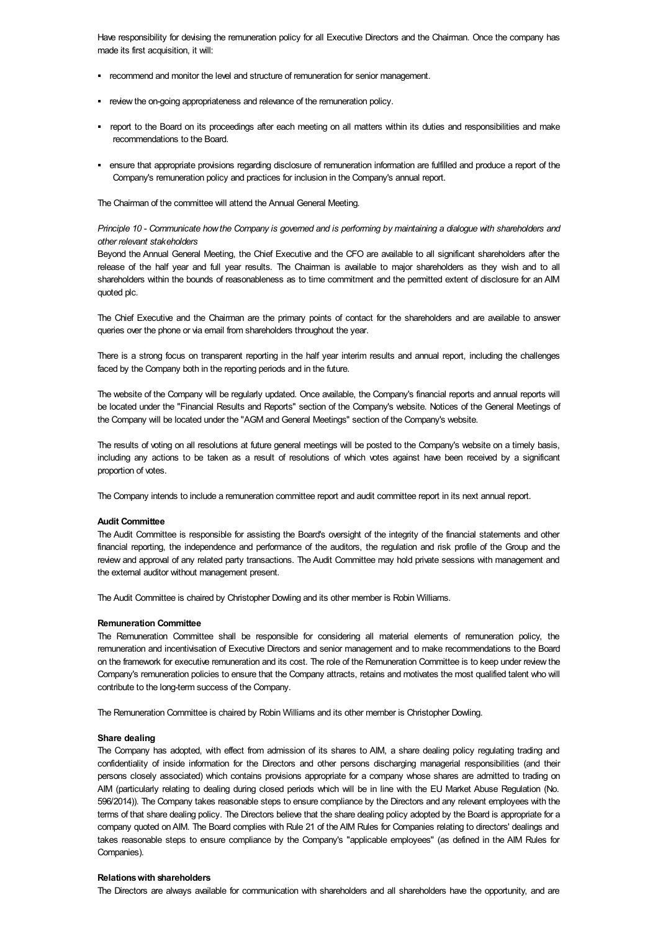Have responsibility for devising the remuneration policy for all Executive Directors and the Chairman. Once the company has made its first acquisition, it will:

- § recommend and monitor the level and structure of remuneration for senior management.
- review the on-going appropriateness and relevance of the remuneration policy.
- § report to the Board on its proceedings after each meeting on all matters within its duties and responsibilities and make recommendations to the Board.
- § ensure that appropriate provisions regarding disclosure of remuneration information are fulfilled and produce a report of the Company's remuneration policy and practices for inclusion in the Company's annual report.

The Chairman of the committee will attend the Annual General Meeting.

# Principle 10 - Communicate how the Company is governed and is performing by maintaining a dialogue with shareholders and *other relevant stakeholders*

Beyond the Annual General Meeting, the Chief Executive and the CFO are available to all significant shareholders after the release of the half year and full year results. The Chairman is available to major shareholders as they wish and to all shareholders within the bounds of reasonableness as to time commitment and the permitted extent of disclosure for an AIM quoted plc.

The Chief Executive and the Chairman are the primary points of contact for the shareholders and are available to answer queries over the phone or via email from shareholders throughout the year.

There is a strong focus on transparent reporting in the half year interim results and annual report, including the challenges faced by the Company both in the reporting periods and in the future.

The website of the Company will be regularly updated. Once available, the Company's financial reports and annual reports will be located under the "Financial Results and Reports" section of the Company's website. Notices of the General Meetings of the Company will be located under the "AGM and General Meetings" section of the Company's website.

The results of voting on all resolutions at future general meetings will be posted to the Company's website on a timely basis, including any actions to be taken as a result of resolutions of which votes against have been received by a significant proportion of votes.

The Company intends to include a remuneration committee report and audit committee report in its next annual report.

### **Audit Committee**

The Audit Committee is responsible for assisting the Board's oversight of the integrity of the financial statements and other financial reporting, the independence and performance of the auditors, the regulation and risk profile of the Group and the review and approval of any related party transactions. The Audit Committee may hold private sessions with management and the external auditor without management present.

The Audit Committee is chaired by Christopher Dowling and its other member is Robin Williams.

## **Remuneration Committee**

The Remuneration Committee shall be responsible for considering all material elements of remuneration policy, the remuneration and incentivisation of Executive Directors and senior management and to make recommendations to the Board on the framework for executive remuneration and its cost. The role of the Remuneration Committee is to keep under review the Company's remuneration policies to ensure that the Company attracts, retains and motivates the most qualified talent who will contribute to the long-term success of the Company.

The Remuneration Committee is chaired by Robin Williams and its other member is Christopher Dowling.

### **Share dealing**

The Company has adopted, with effect from admission of its shares to AIM, a share dealing policy regulating trading and confidentiality of inside information for the Directors and other persons discharging managerial responsibilities (and their persons closely associated) which contains provisions appropriate for a company whose shares are admitted to trading on AIM (particularly relating to dealing during closed periods which will be in line with the EU Market Abuse Regulation (No. 596/2014)). The Company takes reasonable steps to ensure compliance by the Directors and any relevant employees with the terms of that share dealing policy. The Directors believe that the share dealing policy adopted by the Board is appropriate for a company quoted on AIM. The Board complies with Rule 21 of the AIM Rules for Companies relating to directors' dealings and takes reasonable steps to ensure compliance by the Company's "applicable employees" (as defined in the AIM Rules for Companies).

# **Relationswith shareholders**

The Directors are always available for communication with shareholders and all shareholders have the opportunity, and are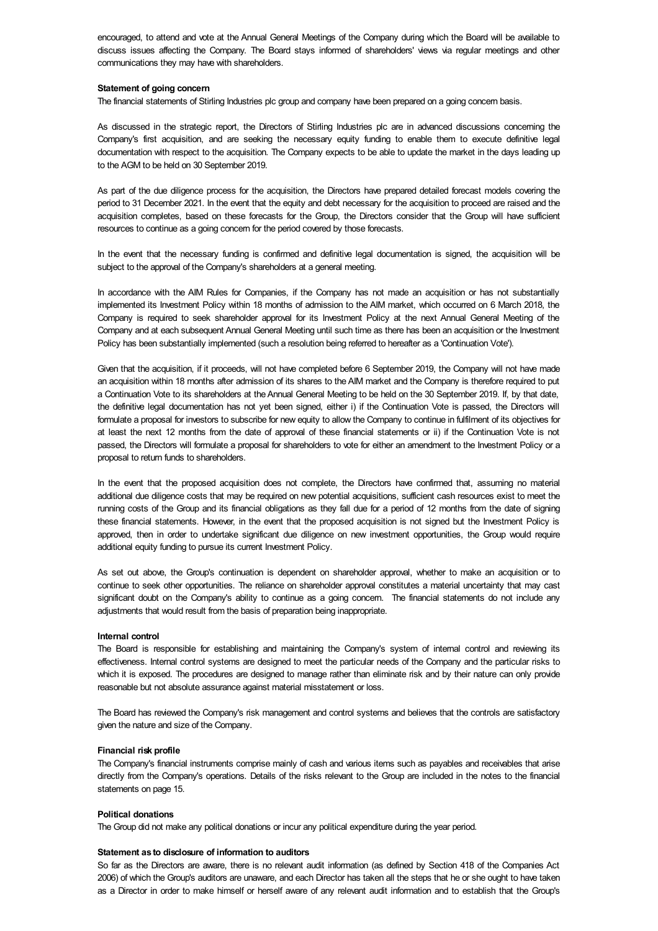encouraged, to attend and vote at the Annual General Meetings of the Company during which the Board will be available to discuss issues affecting the Company. The Board stays informed of shareholders' views via regular meetings and other communications they may have with shareholders.

### **Statement of going concern**

The financial statements of Stirling Industries plc group and company have been prepared on a going concern basis.

As discussed in the strategic report, the Directors of Stirling Industries plc are in advanced discussions concerning the Company's first acquisition, and are seeking the necessary equity funding to enable them to execute definitive legal documentation with respect to the acquisition. The Company expects to be able to update the market in the days leading up to the AGM to be held on 30 September 2019.

As part of the due diligence process for the acquisition, the Directors have prepared detailed forecast models covering the period to 31 December 2021. In the event that the equity and debt necessary for the acquisition to proceed are raised and the acquisition completes, based on these forecasts for the Group, the Directors consider that the Group will have sufficient resources to continue as a going concern for the period covered by those forecasts.

In the event that the necessary funding is confirmed and definitive legal documentation is signed, the acquisition will be subject to the approval of the Company's shareholders at a general meeting.

In accordance with the AIM Rules for Companies, if the Company has not made an acquisition or has not substantially implemented its Investment Policy within 18 months of admission to the AIM market, which occurred on 6 March 2018, the Company is required to seek shareholder approval for its Investment Policy at the next Annual General Meeting of the Company and at each subsequent Annual General Meeting until such time as there has been an acquisition or the Investment Policy has been substantially implemented (such a resolution being referred to hereafter as a 'Continuation Vote').

Given that the acquisition, if it proceeds, will not have completed before 6 September 2019, the Company will not have made an acquisition within 18 months after admission of its shares to the AIM market and the Company is therefore required to put a Continuation Vote to its shareholders at the Annual General Meeting to be held on the 30 September 2019. If, by that date, the definitive legal documentation has not yet been signed, either i) if the Continuation Vote is passed, the Directors will formulate a proposal for investors to subscribe for new equity to allow the Company to continue in fulfilment of its objectives for at least the next 12 months from the date of approval of these financial statements or ii) if the Continuation Vote is not passed, the Directors will formulate a proposal for shareholders to vote for either an amendment to the Investment Policy or a proposal to return funds to shareholders.

In the event that the proposed acquisition does not complete, the Directors have confirmed that, assuming no material additional due diligence costs that may be required on new potential acquisitions, sufficient cash resources exist to meet the running costs of the Group and its financial obligations as they fall due for a period of 12 months from the date of signing these financial statements. However, in the event that the proposed acquisition is not signed but the Investment Policy is approved, then in order to undertake significant due diligence on new investment opportunities, the Group would require additional equity funding to pursue its current Investment Policy.

As set out above, the Group's continuation is dependent on shareholder approval, whether to make an acquisition or to continue to seek other opportunities. The reliance on shareholder approval constitutes a material uncertainty that may cast significant doubt on the Company's ability to continue as a going concern. The financial statements do not include any adjustments that would result from the basis of preparation being inappropriate.

#### **Internal control**

The Board is responsible for establishing and maintaining the Company's system of internal control and reviewing its effectiveness. Internal control systems are designed to meet the particular needs of the Company and the particular risks to which it is exposed. The procedures are designed to manage rather than eliminate risk and by their nature can only provide reasonable but not absolute assurance against material misstatement or loss.

The Board has reviewed the Company's risk management and control systems and believes that the controls are satisfactory given the nature and size of the Company.

#### **Financial risk profile**

The Company's financial instruments comprise mainly of cash and various items such as payables and receivables that arise directly from the Company's operations. Details of the risks relevant to the Group are included in the notes to the financial statements on page 15.

### **Political donations**

The Group did not make any political donations or incur any political expenditure during the year period.

#### **Statement as to disclosure of information to auditors**

So far as the Directors are aware, there is no relevant audit information (as defined by Section 418 of the Companies Act 2006) of which the Group's auditors are unaware, and each Director has taken all the steps that he or she ought to have taken as a Director in order to make himself or herself aware of any relevant audit information and to establish that the Group's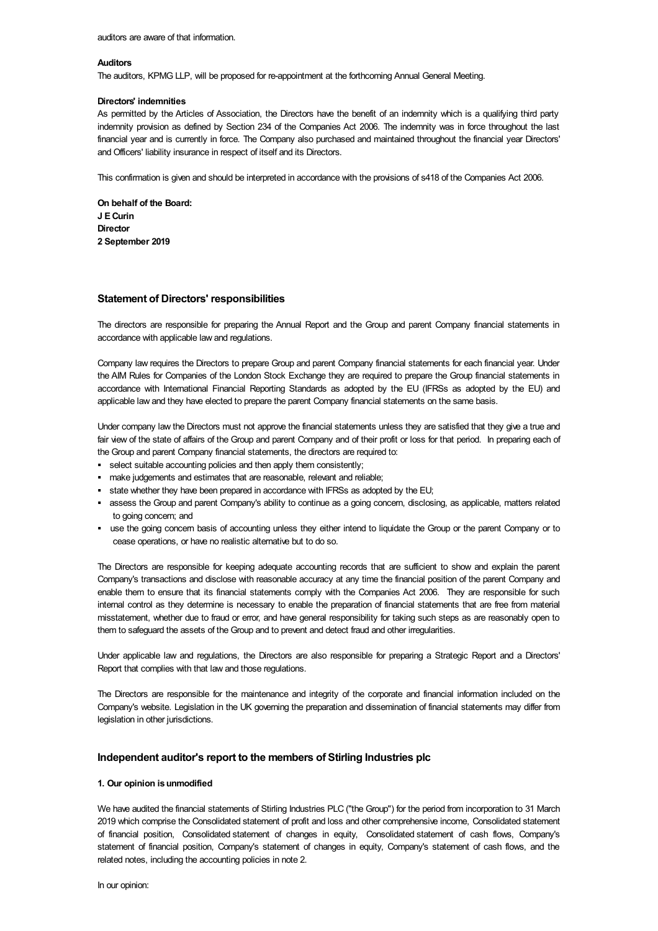### **Auditors**

The auditors, KPMG LLP, will be proposed for re-appointment at the forthcoming Annual General Meeting.

#### **Directors' indemnities**

As permitted by the Articles of Association, the Directors have the benefit of an indemnity which is a qualifying third party indemnity provision as defined by Section 234 of the Companies Act 2006. The indemnity was in force throughout the last financial year and is currently in force. The Company also purchased and maintained throughout the financial year Directors' and Officers' liability insurance in respect of itself and its Directors.

This confirmation is given and should be interpreted in accordance with the provisions of s418 of the Companies Act 2006.

**On behalf of the Board: J ECurin Director 2 September 2019**

# **Statement of Directors' responsibilities**

The directors are responsible for preparing the Annual Report and the Group and parent Company financial statements in accordance with applicable law and regulations.

Company law requires the Directors to prepare Group and parent Company financial statements for each financial year. Under the AIM Rules for Companies of the London Stock Exchange they are required to prepare the Group financial statements in accordance with International Financial Reporting Standards as adopted by the EU (IFRSs as adopted by the EU) and applicable law and they have elected to prepare the parent Company financial statements on the same basis.

Under company law the Directors must not approve the financial statements unless they are satisfied that they give a true and fair view of the state of affairs of the Group and parent Company and of their profit or loss for that period. In preparing each of the Group and parent Company financial statements, the directors are required to:

- § select suitable accounting policies and then apply them consistently;
- make judgements and estimates that are reasonable, relevant and reliable;
- state whether they have been prepared in accordance with IFRSs as adopted by the EU;
- assess the Group and parent Company's ability to continue as a going concern, disclosing, as applicable, matters related to going concern; and
- § use the going concern basis of accounting unless they either intend to liquidate the Group or the parent Company or to cease operations, or have no realistic alternative but to do so.

The Directors are responsible for keeping adequate accounting records that are sufficient to show and explain the parent Company's transactions and disclose with reasonable accuracy at any time the financial position of the parent Company and enable them to ensure that its financial statements comply with the Companies Act 2006. They are responsible for such internal control as they determine is necessary to enable the preparation of financial statements that are free from material misstatement, whether due to fraud or error, and have general responsibility for taking such steps as are reasonably open to them to safeguard the assets of the Group and to prevent and detect fraud and other irregularities.

Under applicable law and regulations, the Directors are also responsible for preparing a Strategic Report and a Directors' Report that complies with that law and those regulations.

The Directors are responsible for the maintenance and integrity of the corporate and financial information included on the Company's website. Legislation in the UK governing the preparation and dissemination of financial statements may differ from legislation in other jurisdictions.

# **Independent auditor's report to the members of Stirling Industries plc**

# **1. Our opinion isunmodified**

We have audited the financial statements of Stirling Industries PLC ("the Group") for the period from incorporation to 31 March 2019 which comprise the Consolidated statement of profit and loss and other comprehensive income, Consolidated statement of financial position, Consolidated statement of changes in equity, Consolidated statement of cash flows, Company's statement of financial position, Company's statement of changes in equity, Company's statement of cash flows, and the related notes, including the accounting policies in note 2.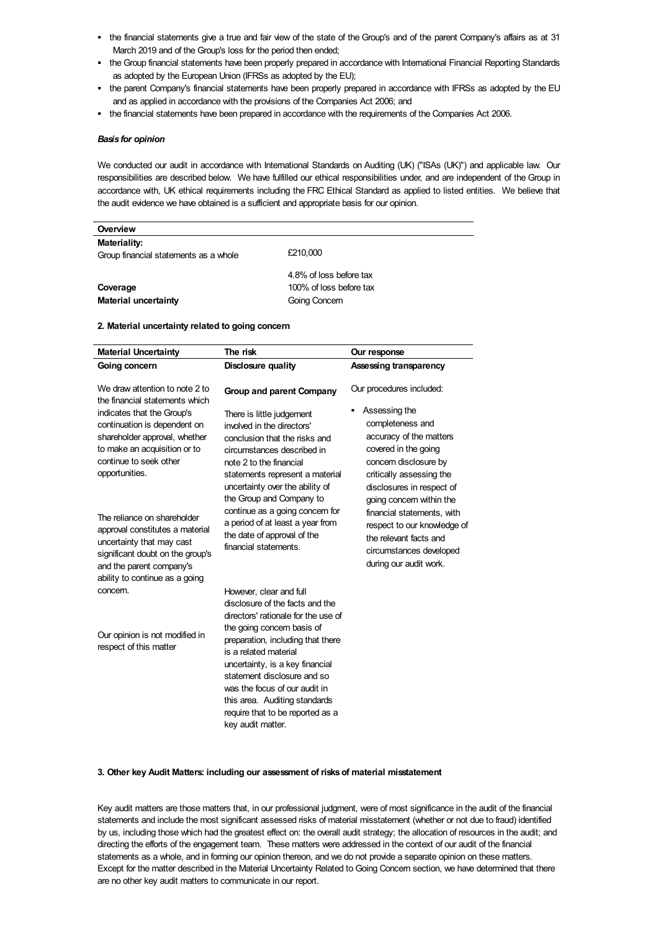- the financial statements give a true and fair view of the state of the Group's and of the parent Company's affairs as at 31 March 2019 and of the Group's loss for the period then ended;
- the Group financial statements have been properly prepared in accordance with International Financial Reporting Standards as adopted by the European Union (IFRSs as adopted by the EU);
- § the parent Company's financial statements have been properly prepared in accordance with IFRSs as adopted by the EU and as applied in accordance with the provisions of the Companies Act 2006; and
- § the financial statements have been prepared in accordance with the requirements of the Companies Act 2006.

### *Basis for opinion*

We conducted our audit in accordance with International Standards on Auditing (UK) ("ISAs (UK)") and applicable law. Our responsibilities are described below. We have fulfilled our ethical responsibilities under, and are independent of the Group in accordance with, UK ethical requirements including the FRC Ethical Standard as applied to listed entities. We believe that the audit evidence we have obtained is a sufficient and appropriate basis for our opinion.

| Overview                                              |                         |
|-------------------------------------------------------|-------------------------|
| Materiality:<br>Group financial statements as a whole | £210,000                |
|                                                       | 4.8% of loss before tax |
| Coverage                                              | 100% of loss before tax |
| <b>Material uncertainty</b>                           | Going Concern           |

### **2. Material uncertainty related to going concern**

| <b>Material Uncertainty</b>                                                                                                                                                                                                                                            | The risk                                                                                                                                                                                                                                                                                                                                                                           | Our response                                                                                                                                                                                                                                                                                   |
|------------------------------------------------------------------------------------------------------------------------------------------------------------------------------------------------------------------------------------------------------------------------|------------------------------------------------------------------------------------------------------------------------------------------------------------------------------------------------------------------------------------------------------------------------------------------------------------------------------------------------------------------------------------|------------------------------------------------------------------------------------------------------------------------------------------------------------------------------------------------------------------------------------------------------------------------------------------------|
| Going concern                                                                                                                                                                                                                                                          | Disclosure quality                                                                                                                                                                                                                                                                                                                                                                 | Assessing transparency                                                                                                                                                                                                                                                                         |
| We draw attention to note 2 to<br>the financial statements which                                                                                                                                                                                                       | Group and parent Company                                                                                                                                                                                                                                                                                                                                                           | Our procedures included:                                                                                                                                                                                                                                                                       |
| indicates that the Group's<br>continuation is dependent on<br>shareholder approval, whether<br>to make an acquisition or to<br>continue to seek other<br>opportunities.<br>The reliance on shareholder<br>approval constitutes a material<br>uncertainty that may cast | There is little judgement<br>involved in the directors'<br>conclusion that the risks and<br>circumstances described in<br>note 2 to the financial<br>statements represent a material<br>uncertainty over the ability of<br>the Group and Company to<br>continue as a going concern for<br>a period of at least a year from<br>the date of approval of the<br>financial statements. | Assessing the<br>٠<br>completeness and<br>accuracy of the matters<br>covered in the going<br>concern disclosure by<br>critically assessing the<br>disclosures in respect of<br>going concern within the<br>financial statements, with<br>respect to our knowledge of<br>the relevant facts and |
| significant doubt on the group's<br>and the parent company's<br>ability to continue as a going                                                                                                                                                                         |                                                                                                                                                                                                                                                                                                                                                                                    | circumstances developed<br>during our audit work.                                                                                                                                                                                                                                              |
| concern.                                                                                                                                                                                                                                                               | However, clear and full<br>disclosure of the facts and the<br>directors' rationale for the use of                                                                                                                                                                                                                                                                                  |                                                                                                                                                                                                                                                                                                |
| Our opinion is not modified in<br>respect of this matter                                                                                                                                                                                                               | the going concern basis of<br>preparation, including that there<br>is a related material<br>uncertainty, is a key financial<br>statement disclosure and so<br>was the focus of our audit in<br>this area. Auditing standards<br>require that to be reported as a<br>key audit matter.                                                                                              |                                                                                                                                                                                                                                                                                                |

# **3. Other key Audit Matters: including our assessment of risksof material misstatement**

Key audit matters are those matters that, in our professional judgment, were of most significance in the audit of the financial statements and include the most significant assessed risks of material misstatement (whether or not due to fraud) identified by us, including those which had the greatest effect on: the overall audit strategy; the allocation of resources in the audit; and directing the efforts of the engagement team. These matters were addressed in the context of our audit of the financial statements as a whole, and in forming our opinion thereon, and we do not provide a separate opinion on these matters. Except for the matter described in the Material Uncertainty Related to Going Concern section, we have determined that there are no other key audit matters to communicate in our report.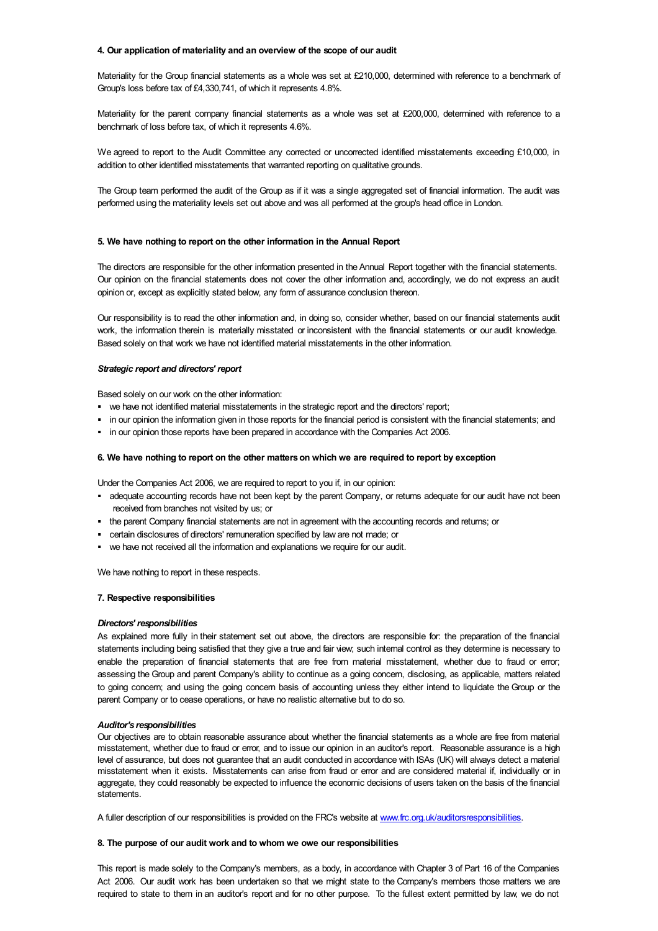### **4. Our application of materiality and an overview of the scope of our audit**

Materiality for the Group financial statements as a whole was set at £210,000, determined with reference to a benchmark of Group's loss before tax of £4,330,741, of which it represents 4.8%.

Materiality for the parent company financial statements as a whole was set at £200,000, determined with reference to a benchmark of loss before tax, of which it represents 4.6%.

We agreed to report to the Audit Committee any corrected or uncorrected identified misstatements exceeding £10,000, in addition to other identified misstatements that warranted reporting on qualitative grounds.

The Group team performed the audit of the Group as if it was a single aggregated set of financial information. The audit was performed using the materiality levels set out above and was all performed at the group's head office in London.

### **5. We have nothing to report on the other information in the Annual Report**

The directors are responsible for the other information presented in the Annual Report together with the financial statements. Our opinion on the financial statements does not cover the other information and, accordingly, we do not express an audit opinion or, except as explicitly stated below, any form of assurance conclusion thereon.

Our responsibility is to read the other information and, in doing so, consider whether, based on our financial statements audit work, the information therein is materially misstated or inconsistent with the financial statements or our audit knowledge. Based solely on that work we have not identified material misstatements in the other information.

# *Strategic report and directors' report*

Based solely on our work on the other information:

- we have not identified material misstatements in the strategic report and the directors' report;
- § in our opinion the information given in those reports for the financial period is consistent with the financial statements; and
- in our opinion those reports have been prepared in accordance with the Companies Act 2006.

### **6. We have nothing to report on the other matterson which we are required to report by exception**

Under the Companies Act 2006, we are required to report to you if, in our opinion:

- adequate accounting records have not been kept by the parent Company, or returns adequate for our audit have not been received from branches not visited by us; or
- § the parent Company financial statements are not in agreement with the accounting records and returns; or
- certain disclosures of directors' remuneration specified by law are not made; or
- § we have not received all the information and explanations we require for our audit.

We have nothing to report in these respects.

#### **7. Respective responsibilities**

## *Directors' responsibilities*

As explained more fully in their statement set out above, the directors are responsible for: the preparation of the financial statements including being satisfied that they give a true and fair view; such internal control as they determine is necessary to enable the preparation of financial statements that are free from material misstatement, whether due to fraud or error; assessing the Group and parent Company's ability to continue as a going concern, disclosing, as applicable, matters related to going concern; and using the going concern basis of accounting unless they either intend to liquidate the Group or the parent Company or to cease operations, or have no realistic alternative but to do so.

#### *Auditor's responsibilities*

Our objectives are to obtain reasonable assurance about whether the financial statements as a whole are free from material misstatement, whether due to fraud or error, and to issue our opinion in an auditor's report. Reasonable assurance is a high level of assurance, but does not guarantee that an audit conducted in accordance with ISAs (UK) will always detect a material misstatement when it exists. Misstatements can arise from fraud or error and are considered material if, individually or in aggregate, they could reasonably be expected to influence the economic decisions of users taken on the basis of the financial statements.

A fuller description of our responsibilities is provided on the FRC's website at [www.frc.org.uk/auditorsresponsibilities](http://www.frc.org.uk/auditorsresponsibilities).

#### **8. The purpose of our audit work and to whom we owe our responsibilities**

This report is made solely to the Company's members, as a body, in accordance with Chapter 3 of Part 16 of the Companies Act 2006. Our audit work has been undertaken so that we might state to the Company's members those matters we are required to state to them in an auditor's report and for no other purpose. To the fullest extent permitted by law, we do not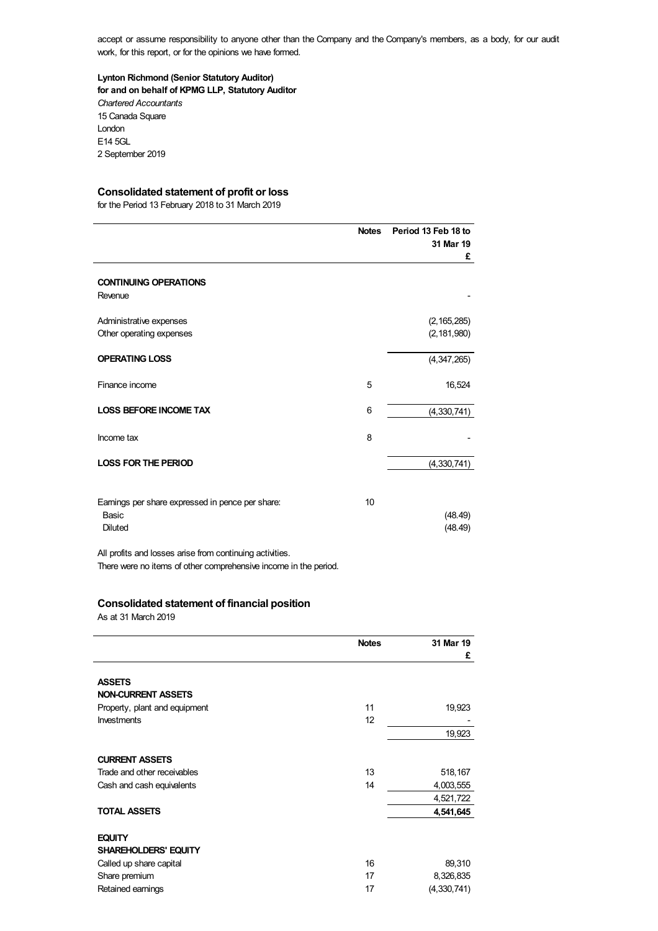accept or assume responsibility to anyone other than the Company and the Company's members, as a body, for our audit work, for this report, or for the opinions we have formed.

# **Lynton Richmond (Senior Statutory Auditor) for and on behalf of KPMG LLP, Statutory Auditor**

*Chartered Accountants* 15 Canada Square London E14 5GL 2 September 2019

# **Consolidated statement of profit or loss**

for the Period 13 February 2018 to 31 March 2019

|                                                          | <b>Notes</b> | Period 13 Feb 18 to<br>31 Mar 19<br>£ |
|----------------------------------------------------------|--------------|---------------------------------------|
| <b>CONTINUING OPERATIONS</b>                             |              |                                       |
| Revenue                                                  |              |                                       |
| Administrative expenses                                  |              | (2, 165, 285)                         |
| Other operating expenses                                 |              | (2, 181, 980)                         |
| <b>OPERATING LOSS</b>                                    |              | (4, 347, 265)                         |
| Finance income                                           | 5            | 16,524                                |
| <b>LOSS BEFORE INCOME TAX</b>                            | 6            | (4,330,741)                           |
| Income tax                                               | 8            |                                       |
| <b>LOSS FOR THE PERIOD</b>                               |              | (4,330,741)                           |
| Earnings per share expressed in pence per share:         | 10           |                                       |
| Basic                                                    |              | (48.49)                               |
| Diluted                                                  |              | (48.49)                               |
| All profits and losses arise from continuing activities. |              |                                       |

There were no items of other comprehensive income in the period.

# **Consolidated statement of financial position**

As at 31 March 2019

|                               | <b>Notes</b> | 31 Mar 19     |
|-------------------------------|--------------|---------------|
|                               |              | £             |
| <b>ASSETS</b>                 |              |               |
| <b>NON-CURRENT ASSETS</b>     |              |               |
| Property, plant and equipment | 11           | 19,923        |
| <b>Investments</b>            | 12           |               |
|                               |              | 19,923        |
| <b>CURRENT ASSETS</b>         |              |               |
| Trade and other receivables   | 13           | 518,167       |
| Cash and cash equivalents     | 14           | 4,003,555     |
|                               |              | 4,521,722     |
| <b>TOTAL ASSETS</b>           |              | 4,541,645     |
| <b>EQUITY</b>                 |              |               |
| <b>SHAREHOLDERS' EQUITY</b>   |              |               |
| Called up share capital       | 16           | 89,310        |
| Share premium                 | 17           | 8,326,835     |
| Retained earnings             | 17           | (4, 330, 741) |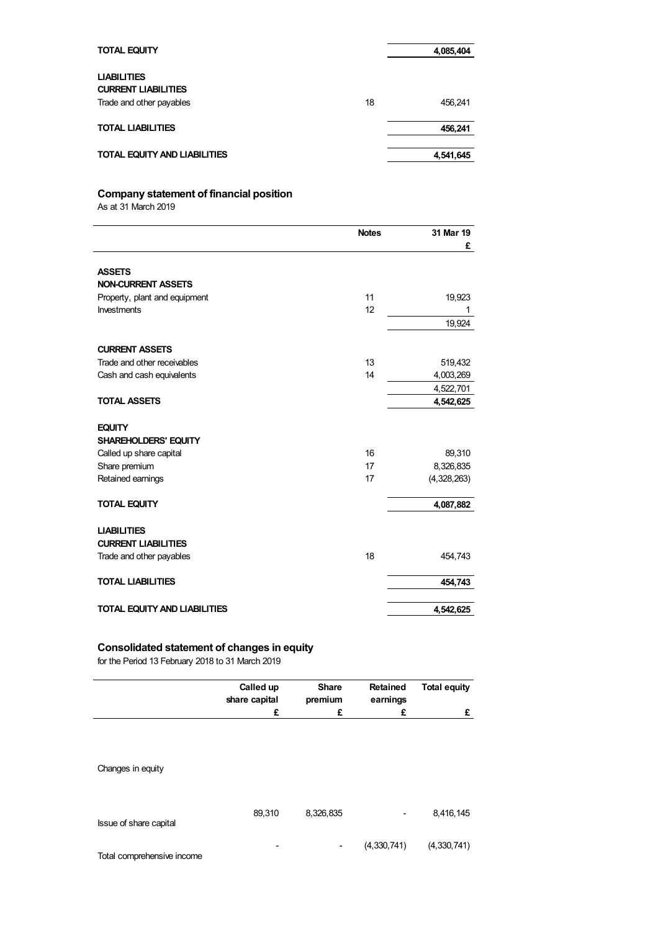| <b>TOTAL EQUITY</b>                                                          |    | 4,085,404 |
|------------------------------------------------------------------------------|----|-----------|
| <b>LIABILITIES</b><br><b>CURRENT LIABILITIES</b><br>Trade and other payables | 18 | 456.241   |
| <b>TOTAL LIABILITIES</b>                                                     |    | 456.241   |
| <b>TOTAL EQUITY AND LIABILITIES</b>                                          |    | 4,541,645 |

# **Company statement of financial position**

As at 31 March 2019

|                                     | <b>Notes</b> | 31 Mar 19   |
|-------------------------------------|--------------|-------------|
|                                     |              | £           |
| <b>ASSETS</b>                       |              |             |
| <b>NON-CURRENT ASSETS</b>           |              |             |
| Property, plant and equipment       | 11           | 19,923      |
| Investments                         | 12           | 1           |
|                                     |              | 19,924      |
| <b>CURRENT ASSETS</b>               |              |             |
| Trade and other receivables         | 13           | 519,432     |
| Cash and cash equivalents           | 14           | 4,003,269   |
|                                     |              | 4,522,701   |
| <b>TOTAL ASSETS</b>                 |              | 4,542,625   |
| <b>EQUITY</b>                       |              |             |
| <b>SHAREHOLDERS' EQUITY</b>         |              |             |
| Called up share capital             | 16           | 89,310      |
| Share premium                       | 17           | 8,326,835   |
| Retained earnings                   | 17           | (4,328,263) |
| <b>TOTAL EQUITY</b>                 |              | 4,087,882   |
| <b>LIABILITIES</b>                  |              |             |
| <b>CURRENT LIABILITIES</b>          |              |             |
| Trade and other payables            | 18           | 454,743     |
| <b>TOTAL LIABILITIES</b>            |              | 454,743     |
| <b>TOTAL EQUITY AND LIABILITIES</b> |              | 4,542,625   |

# **Consolidated statement of changes in equity**

for the Period 13 February 2018 to 31 March 2019

|                            | Called up<br>share capital<br>£ | <b>Share</b><br>premium<br>£ | <b>Retained</b><br>earnings<br>£ | <b>Total equity</b><br>£ |
|----------------------------|---------------------------------|------------------------------|----------------------------------|--------------------------|
| Changes in equity          |                                 |                              |                                  |                          |
| Issue of share capital     | 89,310                          | 8,326,835                    |                                  | 8,416,145                |
| Total comprehensive income |                                 | -                            | (4,330,741)                      | (4,330,741)              |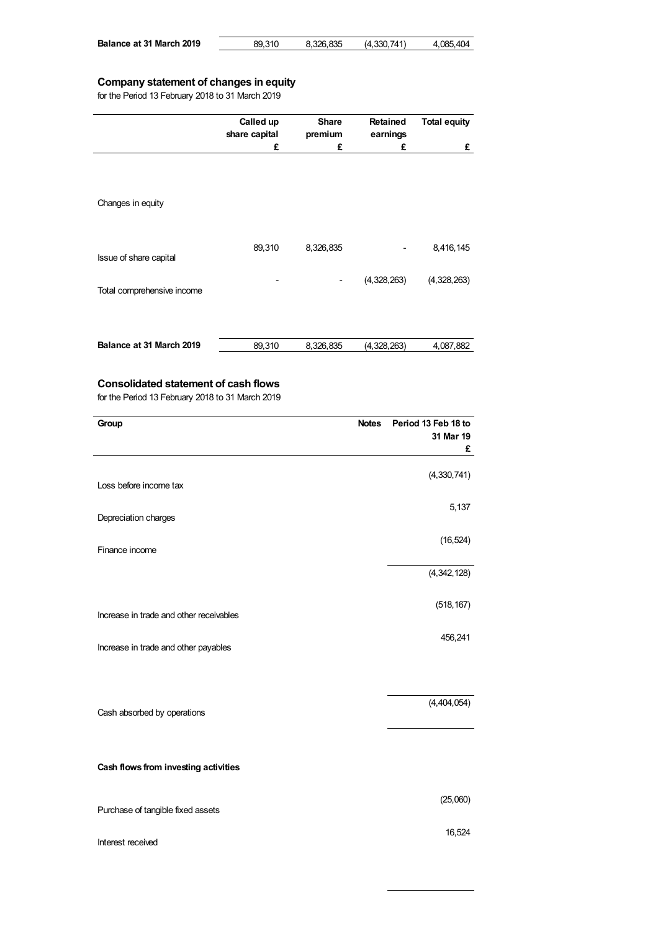| Balance at 31 March 2019 | 89.310 | 8,326,835 | (4,330,741) | 4,085,404 |
|--------------------------|--------|-----------|-------------|-----------|
|                          |        |           |             |           |

# **Company statement of changes in equity**

for the Period 13 February 2018 to 31 March 2019

|                            | Called up<br>share capital<br>£ | <b>Share</b><br>premium<br>£ | <b>Retained</b><br>earnings<br>£ | <b>Total equity</b><br>£ |
|----------------------------|---------------------------------|------------------------------|----------------------------------|--------------------------|
| Changes in equity          |                                 |                              |                                  |                          |
|                            | 89,310                          | 8,326,835                    |                                  | 8,416,145                |
| Issue of share capital     |                                 |                              | (4,328,263)                      | (4,328,263)              |
| Total comprehensive income |                                 |                              |                                  |                          |
| Balance at 31 March 2019   | 89,310                          | 8,326,835                    | (4,328,263)                      | 4,087,882                |

# **Consolidated statement of cash flows**

for the Period 13 February 2018 to 31 March 2019

| Group                                   | <b>Notes</b><br>Period 13 Feb 18 to<br>31 Mar 19<br>£ |
|-----------------------------------------|-------------------------------------------------------|
| Loss before income tax                  | (4, 330, 741)                                         |
| Depreciation charges                    | 5,137                                                 |
| Finance income                          | (16, 524)                                             |
|                                         | (4, 342, 128)                                         |
| Increase in trade and other receivables | (518, 167)                                            |
| Increase in trade and other payables    | 456,241                                               |
| Cash absorbed by operations             | (4,404,054)                                           |
| Cash flows from investing activities    |                                                       |
| Purchase of tangible fixed assets       | (25,060)                                              |
| Interest received                       | 16,524                                                |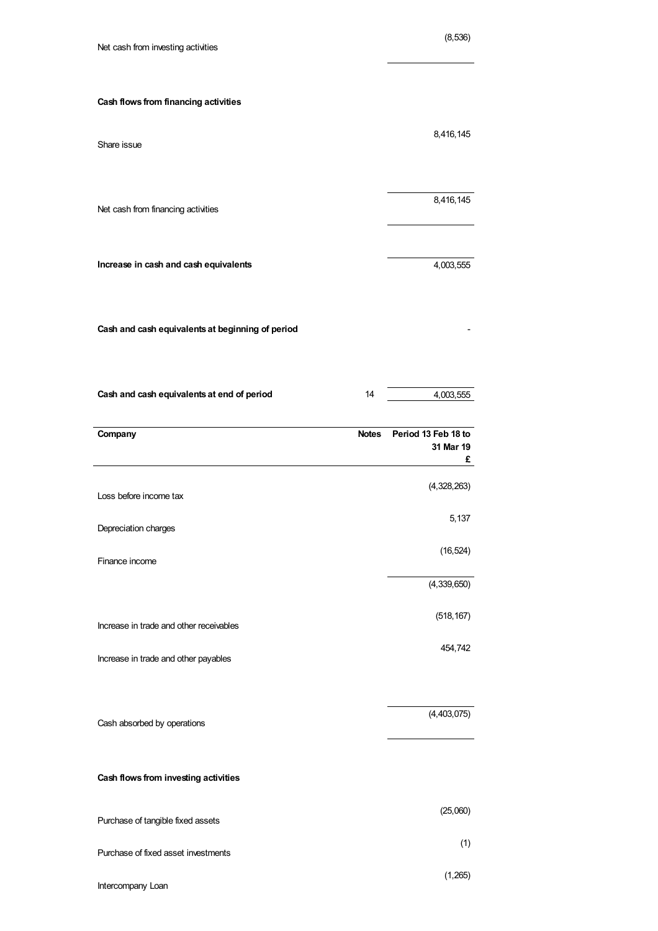| Net cash from investing activities               |              | (8, 536)            |
|--------------------------------------------------|--------------|---------------------|
| Cash flows from financing activities             |              |                     |
| Share issue                                      |              | 8,416,145           |
| Net cash from financing activities               |              | 8,416,145           |
| Increase in cash and cash equivalents            |              | 4,003,555           |
| Cash and cash equivalents at beginning of period |              |                     |
| Cash and cash equivalents at end of period       | 14           | 4,003,555           |
| Company                                          | <b>Notes</b> | Period 13 Feb 18 to |
|                                                  |              | 31 Mar 19<br>£      |
| Loss before income tax                           |              | (4,328,263)         |
| Depreciation charges                             |              | 5,137               |
| Finance income                                   |              | (16, 524)           |
|                                                  |              | (4,339,650)         |
| Increase in trade and other receivables          |              | (518, 167)          |
| Increase in trade and other payables             |              | 454,742             |
|                                                  |              |                     |
| Cash absorbed by operations                      |              | (4,403,075)         |
| Cash flows from investing activities             |              |                     |
| Purchase of tangible fixed assets                |              | (25,060)            |

Intercompany Loan

(1,265)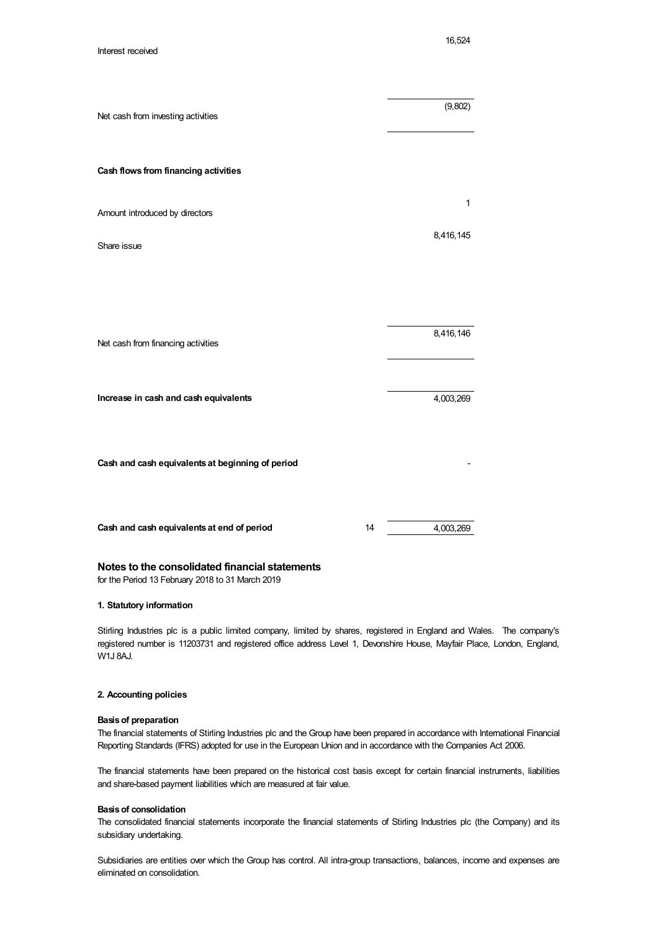| Net cash from investing activities               |    | (9,802)      |
|--------------------------------------------------|----|--------------|
| Cash flows from financing activities             |    |              |
| Amount introduced by directors                   |    | $\mathbf{1}$ |
| Share issue                                      |    | 8,416,145    |
|                                                  |    |              |
|                                                  |    |              |
| Net cash from financing activities               |    | 8,416,146    |
|                                                  |    |              |
| Increase in cash and cash equivalents            |    | 4,003,269    |
|                                                  |    |              |
| Cash and cash equivalents at beginning of period |    |              |
|                                                  |    |              |
| Cash and cash equivalents at end of period       | 14 | 4,003,269    |

# **Notes to the consolidated financial statements**

for the Period 13 February 2018 to 31 March 2019

# **1. Statutory information**

Stirling Industries plc is a public limited company, limited by shares, registered in England and Wales. The company's registered number is 11203731 and registered office address Level 1, Devonshire House, Mayfair Place, London, England, W1J 8AJ.

# **2. Accounting policies**

# **Basisof preparation**

The financial statements of Stirling Industries plc and the Group have been prepared in accordance with International Financial Reporting Standards (IFRS) adopted for use in the European Union and in accordance with the Companies Act 2006.

The financial statements have been prepared on the historical cost basis except for certain financial instruments, liabilities and share-based payment liabilities which are measured at fair value.

#### **Basisof consolidation**

The consolidated financial statements incorporate the financial statements of Stirling Industries plc (the Company) and its subsidiary undertaking.

Subsidiaries are entities over which the Group has control. All intra-group transactions, balances, income and expenses are eliminated on consolidation.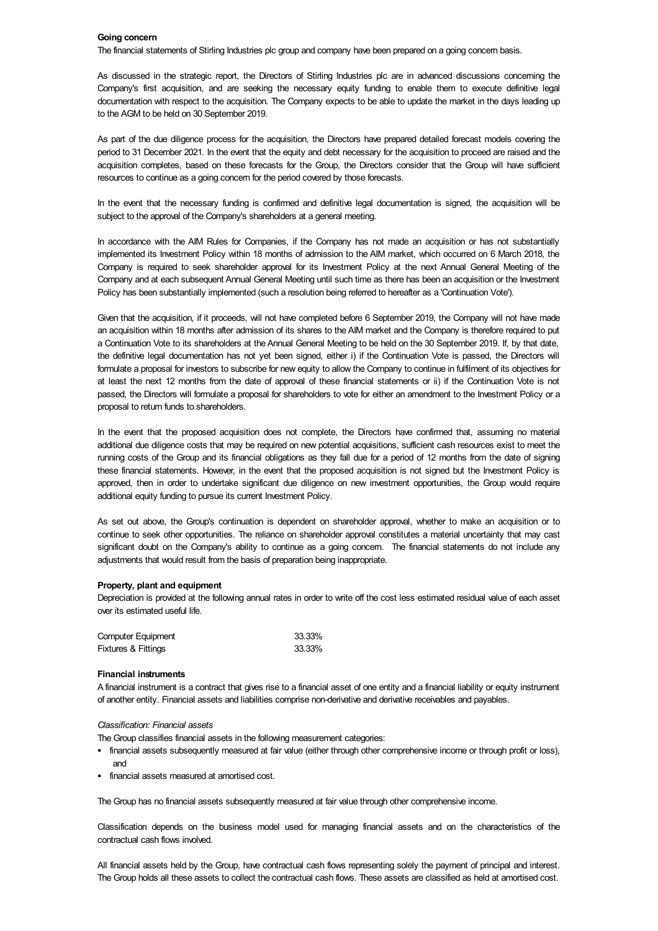### **Going concern**

The financial statements of Stirling Industries plc group and company have been prepared on a going concern basis.

As discussed in the strategic report, the Directors of Stirling Industries plc are in advanced discussions concerning the Company's first acquisition, and are seeking the necessary equity funding to enable them to execute definitive legal documentation with respect to the acquisition. The Company expects to be able to update the market in the days leading up to the AGM to be held on 30 September 2019.

As part of the due diligence process for the acquisition, the Directors have prepared detailed forecast models covering the period to 31 December 2021. In the event that the equity and debt necessary for the acquisition to proceed are raised and the acquisition completes, based on these forecasts for the Group, the Directors consider that the Group will have sufficient resources to continue as a going concern for the period covered by those forecasts.

In the event that the necessary funding is confirmed and definitive legal documentation is signed, the acquisition will be subject to the approval of the Company's shareholders at a general meeting.

In accordance with the AIM Rules for Companies, if the Company has not made an acquisition or has not substantially implemented its Investment Policy within 18 months of admission to the AIM market, which occurred on 6 March 2018, the Company is required to seek shareholder approval for its Investment Policy at the next Annual General Meeting of the Company and at each subsequent Annual General Meeting until such time as there has been an acquisition or the Investment Policy has been substantially implemented (such a resolution being referred to hereafter as a 'Continuation Vote').

Given that the acquisition, if it proceeds, will not have completed before 6 September 2019, the Company will not have made an acquisition within 18 months after admission of its shares to the AIM market and the Company is therefore required to put a Continuation Vote to its shareholders at the Annual General Meeting to be held on the 30 September 2019. If, by that date, the definitive legal documentation has not yet been signed, either i) if the Continuation Vote is passed, the Directors will formulate a proposal for investors to subscribe for new equity to allow the Company to continue in fulfilment of its objectives for at least the next 12 months from the date of approval of these financial statements or ii) if the Continuation Vote is not passed, the Directors will formulate a proposal for shareholders to vote for either an amendment to the Investment Policy or a proposal to return funds to shareholders.

In the event that the proposed acquisition does not complete, the Directors have confirmed that, assuming no material additional due diligence costs that may be required on new potential acquisitions, sufficient cash resources exist to meet the running costs of the Group and its financial obligations as they fall due for a period of 12 months from the date of signing these financial statements. However, in the event that the proposed acquisition is not signed but the Investment Policy is approved, then in order to undertake significant due diligence on new investment opportunities, the Group would require additional equity funding to pursue its current Investment Policy.

As set out above, the Group's continuation is dependent on shareholder approval, whether to make an acquisition or to continue to seek other opportunities. The reliance on shareholder approval constitutes a material uncertainty that may cast significant doubt on the Company's ability to continue as a going concern. The financial statements do not include any adjustments that would result from the basis of preparation being inappropriate.

### **Property, plant and equipment**

Depreciation is provided at the following annual rates in order to write off the cost less estimated residual value of each asset over its estimated useful life.

| Computer Equipment             | 33.33% |
|--------------------------------|--------|
| <b>Fixtures &amp; Fittings</b> | 33.33% |

### **Financial instruments**

A financial instrument is a contract that gives rise to a financial asset of one entity and a financial liability or equity instrument of another entity. Financial assets and liabilities comprise non-derivative and derivative receivables and payables.

#### *Classification: Financial assets*

The Group classifies financial assets in the following measurement categories:

- § financial assets subsequently measured at fair value (either through other comprehensive income or through profit or loss), and
- **•** financial assets measured at amortised cost.

The Group has no financial assets subsequently measured at fair value through other comprehensive income.

Classification depends on the business model used for managing financial assets and on the characteristics of the contractual cash flows involved.

All financial assets held by the Group, have contractual cash flows representing solely the payment of principal and interest. The Group holds all these assets to collect the contractual cash flows. These assets are classified as held at amortised cost.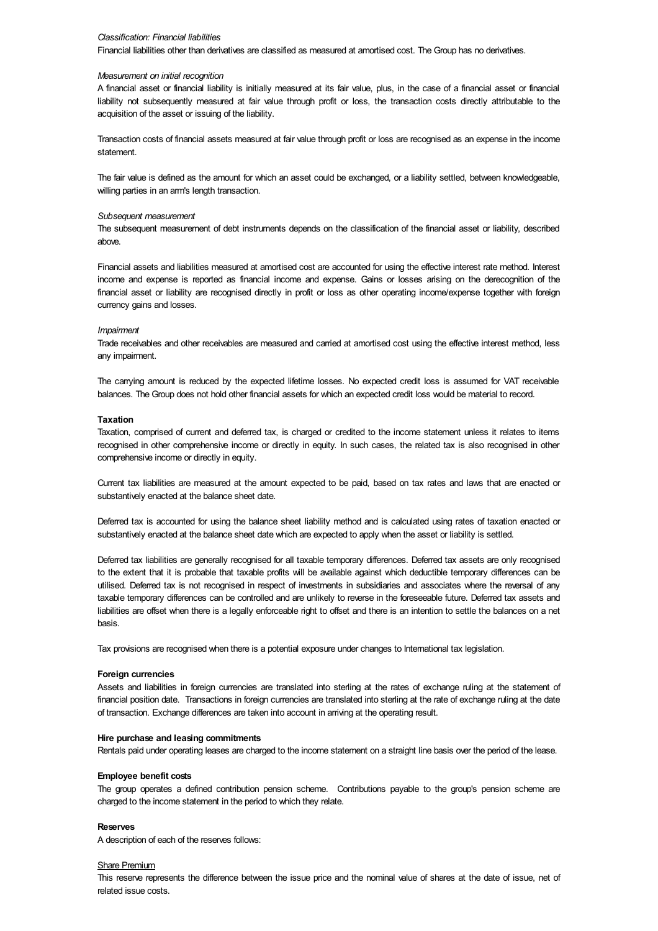#### *Classification: Financial liabilities*

Financial liabilities other than derivatives are classified as measured at amortised cost. The Group has no derivatives.

#### *Measurement on initial recognition*

A financial asset or financial liability is initially measured at its fair value, plus, in the case of a financial asset or financial liability not subsequently measured at fair value through profit or loss, the transaction costs directly attributable to the acquisition of the asset or issuing of the liability.

Transaction costs of financial assets measured at fair value through profit or loss are recognised as an expense in the income statement.

The fair value is defined as the amount for which an asset could be exchanged, or a liability settled, between knowledgeable, willing parties in an arm's length transaction.

#### *Subsequent measurement*

The subsequent measurement of debt instruments depends on the classification of the financial asset or liability, described above.

Financial assets and liabilities measured at amortised cost are accounted for using the effective interest rate method. Interest income and expense is reported as financial income and expense. Gains or losses arising on the derecognition of the financial asset or liability are recognised directly in profit or loss as other operating income/expense together with foreign currency gains and losses.

#### *Impairment*

Trade receivables and other receivables are measured and carried at amortised cost using the effective interest method, less any impairment.

The carrying amount is reduced by the expected lifetime losses. No expected credit loss is assumed for VAT receivable balances. The Group does not hold other financial assets for which an expected credit loss would be material to record.

### **Taxation**

Taxation, comprised of current and deferred tax, is charged or credited to the income statement unless it relates to items recognised in other comprehensive income or directly in equity. In such cases, the related tax is also recognised in other comprehensive income or directly in equity.

Current tax liabilities are measured at the amount expected to be paid, based on tax rates and laws that are enacted or substantively enacted at the balance sheet date.

Deferred tax is accounted for using the balance sheet liability method and is calculated using rates of taxation enacted or substantively enacted at the balance sheet date which are expected to apply when the asset or liability is settled.

Deferred tax liabilities are generally recognised for all taxable temporary differences. Deferred tax assets are only recognised to the extent that it is probable that taxable profits will be available against which deductible temporary differences can be utilised. Deferred tax is not recognised in respect of investments in subsidiaries and associates where the reversal of any taxable temporary differences can be controlled and are unlikely to reverse in the foreseeable future. Deferred tax assets and liabilities are offset when there is a legally enforceable right to offset and there is an intention to settle the balances on a net basis.

Tax provisions are recognised when there is a potential exposure under changes to International tax legislation.

### **Foreign currencies**

Assets and liabilities in foreign currencies are translated into sterling at the rates of exchange ruling at the statement of financial position date. Transactions in foreign currencies are translated into sterling at the rate of exchange ruling at the date of transaction. Exchange differences are taken into account in arriving at the operating result.

### **Hire purchase and leasing commitments**

Rentals paid under operating leases are charged to the income statement on a straight line basis over the period of the lease.

### **Employee benefit costs**

The group operates a defined contribution pension scheme. Contributions payable to the group's pension scheme are charged to the income statement in the period to which they relate.

#### **Reserves**

A description of each of the reserves follows:

#### Share Premium

This reserve represents the difference between the issue price and the nominal value of shares at the date of issue, net of related issue costs.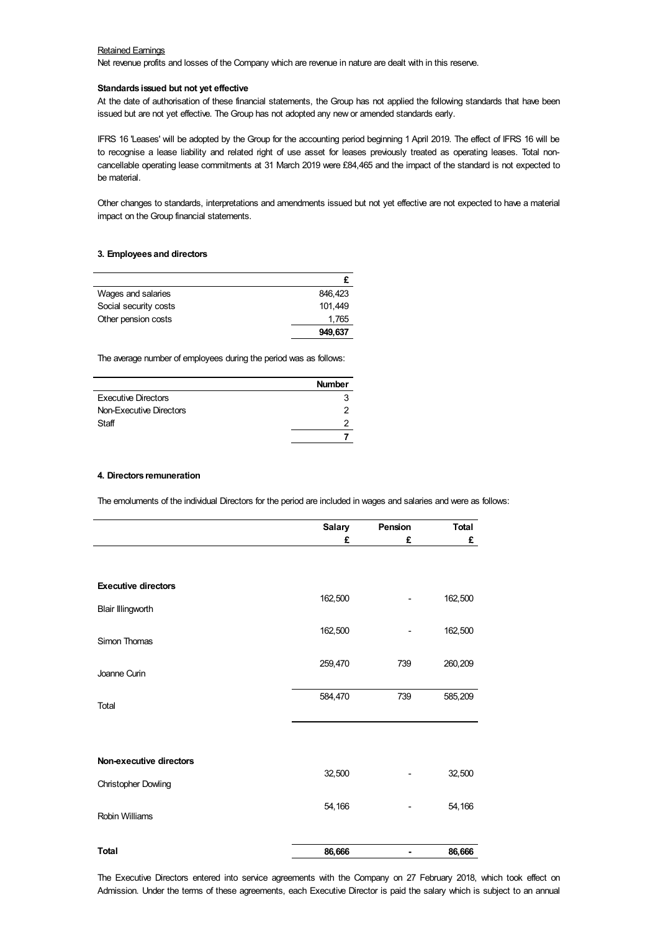# Retained Earnings

Net revenue profits and losses of the Company which are revenue in nature are dealt with in this reserve.

### **Standards issued but not yet effective**

At the date of authorisation of these financial statements, the Group has not applied the following standards that have been issued but are not yet effective. The Group has not adopted any new or amended standards early.

IFRS 16 'Leases' will be adopted by the Group for the accounting period beginning 1 April 2019. The effect of IFRS 16 will be to recognise a lease liability and related right of use asset for leases previously treated as operating leases. Total noncancellable operating lease commitments at 31 March 2019 were £84,465 and the impact of the standard is not expected to be material.

Other changes to standards, interpretations and amendments issued but not yet effective are not expected to have a material impact on the Group financial statements.

### **3. Employees and directors**

| Wages and salaries    | 846.423 |
|-----------------------|---------|
| Social security costs | 101.449 |
| Other pension costs   | 1,765   |
|                       | 949,637 |

The average number of employees during the period was as follows:

|                            | <b>Number</b> |
|----------------------------|---------------|
| <b>Executive Directors</b> |               |
| Non-Executive Directors    |               |
| Staff                      |               |
|                            |               |

# **4. Directors remuneration**

The emoluments of the individual Directors for the period are included in wages and salaries and were as follows:

|                            | <b>Salary</b> | Pension                  | <b>Total</b> |
|----------------------------|---------------|--------------------------|--------------|
|                            | £             | £                        | £            |
|                            |               |                          |              |
|                            |               |                          |              |
| <b>Executive directors</b> |               |                          |              |
| <b>Blair Illingworth</b>   | 162,500       |                          | 162,500      |
| Simon Thomas               | 162,500       | $\overline{\phantom{0}}$ | 162,500      |
|                            |               |                          |              |
| Joanne Curin               | 259,470       | 739                      | 260,209      |
|                            | 584,470       | 739                      | 585,209      |
| Total                      |               |                          |              |
|                            |               |                          |              |
| Non-executive directors    |               |                          |              |
| Christopher Dowling        | 32,500        |                          | 32,500       |
|                            | 54,166        |                          | 54,166       |
| <b>Robin Williams</b>      |               |                          |              |
| <b>Total</b>               | 86,666        |                          | 86,666       |

The Executive Directors entered into service agreements with the Company on 27 February 2018, which took effect on Admission. Under the terms of these agreements, each Executive Director is paid the salary which is subject to an annual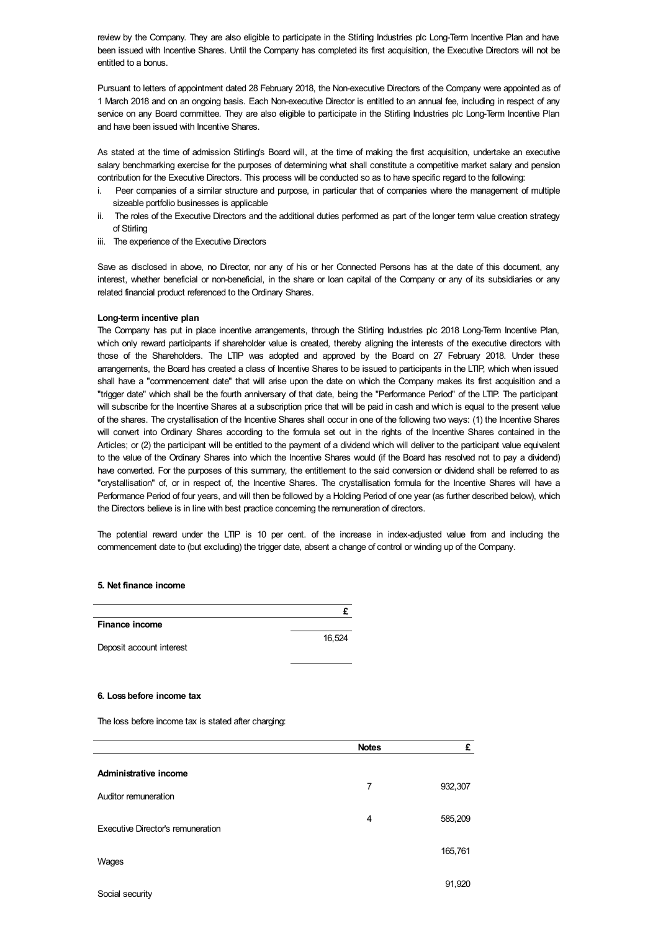review by the Company. They are also eligible to participate in the Stirling Industries plc Long-Term Incentive Plan and have been issued with Incentive Shares. Until the Company has completed its first acquisition, the Executive Directors will not be entitled to a bonus.

Pursuant to letters of appointment dated 28 February 2018, the Non-executive Directors of the Company were appointed as of 1 March 2018 and on an ongoing basis. Each Non-executive Director is entitled to an annual fee, including in respect of any service on any Board committee. They are also eligible to participate in the Stirling Industries plc Long-Term Incentive Plan and have been issued with Incentive Shares.

As stated at the time of admission Stirling's Board will, at the time of making the first acquisition, undertake an executive salary benchmarking exercise for the purposes of determining what shall constitute a competitive market salary and pension contribution for the Executive Directors. This process will be conducted so as to have specific regard to the following:

- i. Peer companies of a similar structure and purpose, in particular that of companies where the management of multiple sizeable portfolio businesses is applicable
- ii. The roles of the Executive Directors and the additional duties performed as part of the longer term value creation strategy of Stirling
- iii. The experience of the Executive Directors

Save as disclosed in above, no Director, nor any of his or her Connected Persons has at the date of this document, any interest, whether beneficial or non-beneficial, in the share or loan capital of the Company or any of its subsidiaries or any related financial product referenced to the Ordinary Shares.

# **Long-term incentive plan**

The Company has put in place incentive arrangements, through the Stirling Industries plc 2018 Long-Term Incentive Plan, which only reward participants if shareholder value is created, thereby aligning the interests of the executive directors with those of the Shareholders. The LTIP was adopted and approved by the Board on 27 February 2018. Under these arrangements, the Board has created a class of Incentive Shares to be issued to participants in the LTIP, which when issued shall have a "commencement date" that will arise upon the date on which the Company makes its first acquisition and a "trigger date" which shall be the fourth anniversary of that date, being the "Performance Period" of the LTIP. The participant will subscribe for the Incentive Shares at a subscription price that will be paid in cash and which is equal to the present value of the shares. The crystallisation of the Incentive Shares shall occur in one of the following two ways: (1) the Incentive Shares will convert into Ordinary Shares according to the formula set out in the rights of the Incentive Shares contained in the Articles; or (2) the participant will be entitled to the payment of a dividend which will deliver to the participant value equivalent to the value of the Ordinary Shares into which the Incentive Shares would (if the Board has resolved not to pay a dividend) have converted. For the purposes of this summary, the entitlement to the said conversion or dividend shall be referred to as "crystallisation" of, or in respect of, the Incentive Shares. The crystallisation formula for the Incentive Shares will have a Performance Period of four years, and will then be followed by a Holding Period of one year (as further described below), which the Directors believe is in line with best practice concerning the remuneration of directors.

The potential reward under the LTIP is 10 per cent. of the increase in index-adjusted value from and including the commencement date to (but excluding) the trigger date, absent a change of control or winding up of the Company.

## **5. Net finance income**

| Finance income           |        |
|--------------------------|--------|
|                          | 16.524 |
| Deposit account interest |        |

### **6. Lossbefore income tax**

The loss before income tax is stated after charging:

|                                                                  | <b>Notes</b> | £       |
|------------------------------------------------------------------|--------------|---------|
| Administrative income                                            | 7            | 932,307 |
| Auditor remuneration<br><b>Executive Director's remuneration</b> | 4            | 585,209 |
| Wages                                                            |              | 165,761 |
| Social security                                                  |              | 91,920  |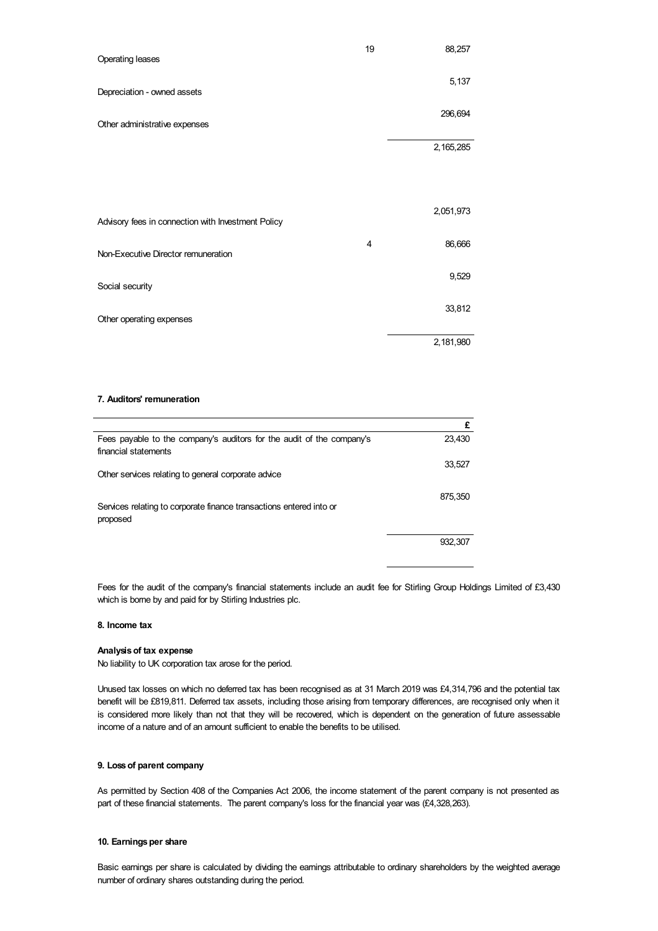| Operating leases                                   | 19 | 88,257      |
|----------------------------------------------------|----|-------------|
| Depreciation - owned assets                        |    | 5,137       |
| Other administrative expenses                      |    | 296,694     |
|                                                    |    | 2, 165, 285 |
|                                                    |    |             |
| Advisory fees in connection with Investment Policy |    | 2,051,973   |
| Non-Executive Director remuneration                | 4  | 86,666      |
| Social security                                    |    | 9,529       |
| Other operating expenses                           |    | 33,812      |
|                                                    |    | 2,181,980   |

# **7. Auditors' remuneration**

|                                                                                               | £       |
|-----------------------------------------------------------------------------------------------|---------|
| Fees payable to the company's auditors for the audit of the company's<br>financial statements | 23,430  |
| Other services relating to general corporate advice                                           | 33,527  |
| Services relating to corporate finance transactions entered into or<br>proposed               | 875,350 |
|                                                                                               | 932.307 |

Fees for the audit of the company's financial statements include an audit fee for Stirling Group Holdings Limited of £3,430 which is borne by and paid for by Stirling Industries plc.

# **8. Income tax**

# **Analysisof tax expense**

No liability to UK corporation tax arose for the period.

Unused tax losses on which no deferred tax has been recognised as at 31 March 2019 was £4,314,796 and the potential tax benefit will be £819,811. Deferred tax assets, including those arising from temporary differences, are recognised only when it is considered more likely than not that they will be recovered, which is dependent on the generation of future assessable income of a nature and of an amount sufficient to enable the benefits to be utilised.

#### **9. Lossof parent company**

As permitted by Section 408 of the Companies Act 2006, the income statement of the parent company is not presented as part of these financial statements. The parent company's loss for the financial year was (£4,328,263).

# 10. **Earnings per share**

Basic earnings per share is calculated by dividing the earnings attributable to ordinary shareholders by the weighted average number of ordinary shares outstanding during the period.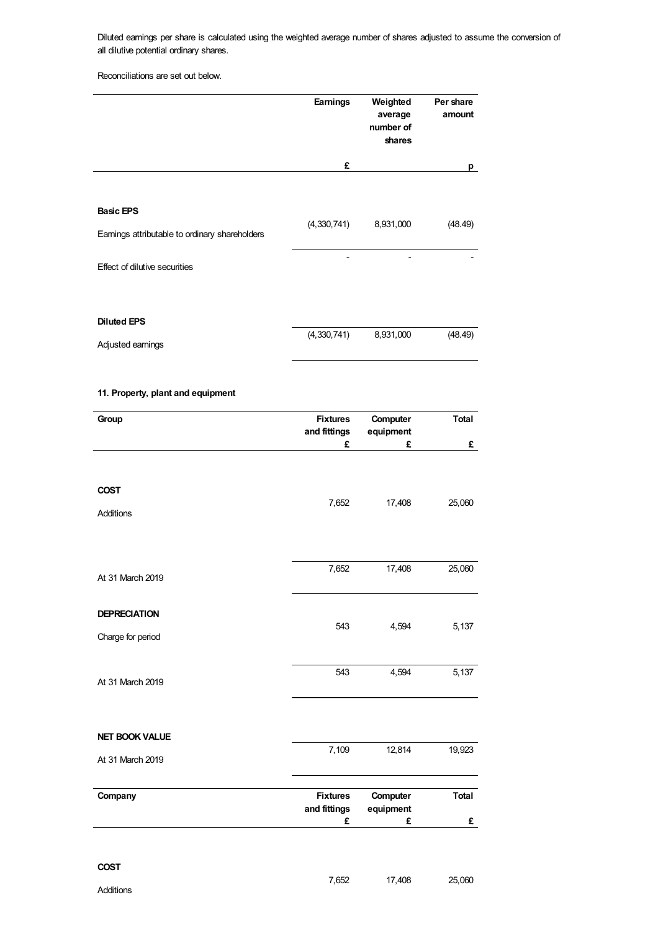Diluted earnings per share is calculated using the weighted average number of shares adjusted to assume the conversion of all dilutive potential ordinary shares.

Reconciliations are set out below.

|                                                                                                     | <b>Earnings</b> | Weighted<br>average<br>number of<br>shares | Per share<br>amount |
|-----------------------------------------------------------------------------------------------------|-----------------|--------------------------------------------|---------------------|
|                                                                                                     | £               |                                            | p                   |
| <b>Basic EPS</b><br>Earnings attributable to ordinary shareholders<br>Effect of dilutive securities | (4,330,741)     | 8,931,000                                  | (48.49)             |
| <b>Diluted EPS</b><br>Adjusted earnings                                                             | (4,330,741)     | 8,931,000                                  | (48.49)             |

# **11. Property, plant and equipment**

| Group                                    | <b>Fixtures</b><br>and fittings | Computer<br>equipment | <b>Total</b> |
|------------------------------------------|---------------------------------|-----------------------|--------------|
|                                          | £                               | £                     | £            |
| <b>COST</b><br><b>Additions</b>          | 7,652                           | 17,408                | 25,060       |
| At 31 March 2019                         | 7,652                           | 17,408                | 25,060       |
| <b>DEPRECIATION</b><br>Charge for period | 543                             | 4,594                 | 5,137        |
| At 31 March 2019                         | 543                             | 4,594                 | 5,137        |
| <b>NET BOOK VALUE</b>                    |                                 |                       |              |
| At 31 March 2019                         | 7,109                           | 12,814                | 19,923       |
| Company                                  | <b>Fixtures</b><br>and fittings | Computer<br>equipment | <b>Total</b> |
|                                          | £                               | £                     | £            |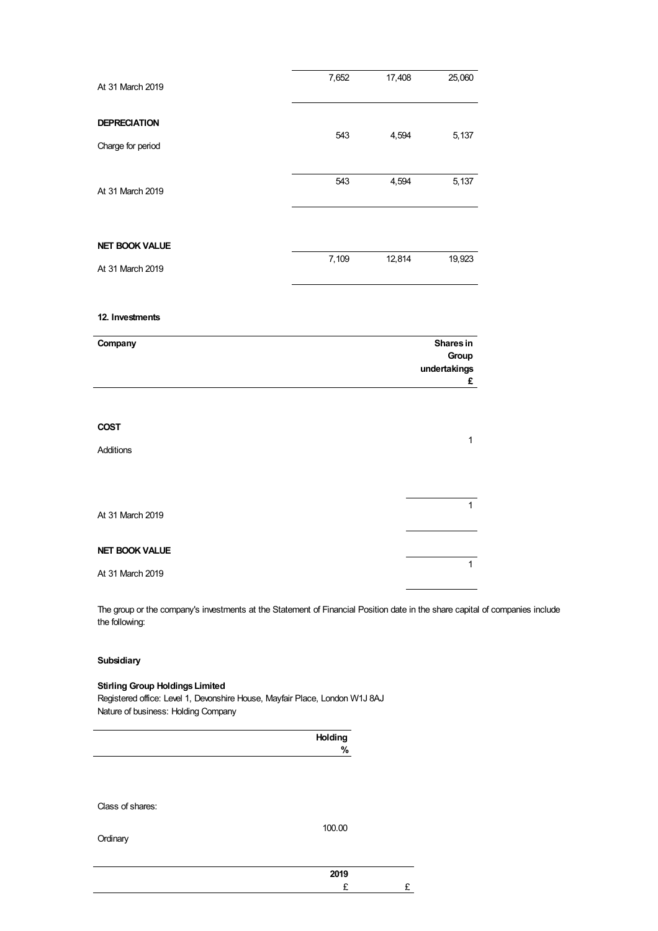| At 31 March 2019      | 7,652 | 17,408 | 25,060                             |
|-----------------------|-------|--------|------------------------------------|
| <b>DEPRECIATION</b>   |       |        |                                    |
| Charge for period     | 543   | 4,594  | 5,137                              |
| At 31 March 2019      | 543   | 4,594  | 5,137                              |
| <b>NET BOOK VALUE</b> |       |        |                                    |
| At 31 March 2019      | 7,109 | 12,814 | 19,923                             |
| 12. Investments       |       |        |                                    |
|                       |       |        |                                    |
| Company               |       |        | Shares in<br>Group<br>undertakings |
|                       |       |        | £                                  |
| <b>COST</b>           |       |        |                                    |
| Additions             |       |        | $\mathbf{1}$                       |
|                       |       |        |                                    |
| At 31 March 2019      |       |        | $\mathbf{1}$                       |
| <b>NET BOOK VALUE</b> |       |        |                                    |
| At 31 March 2019      |       |        | $\mathbf{1}$                       |

The group or the company's investments at the Statement of Financial Position date in the share capital of companies include the following:

# **Subsidiary**

# **Stirling Group Holdings Limited**

Registered office: Level 1, Devonshire House, Mayfair Place, London W1J 8AJ Nature of business: Holding Company

| Holding<br>% |
|--------------|
|              |
|              |
|              |
|              |

Class of shares:

**Ordinary** 

100.00

| 0040<br>טו |  |
|------------|--|
|            |  |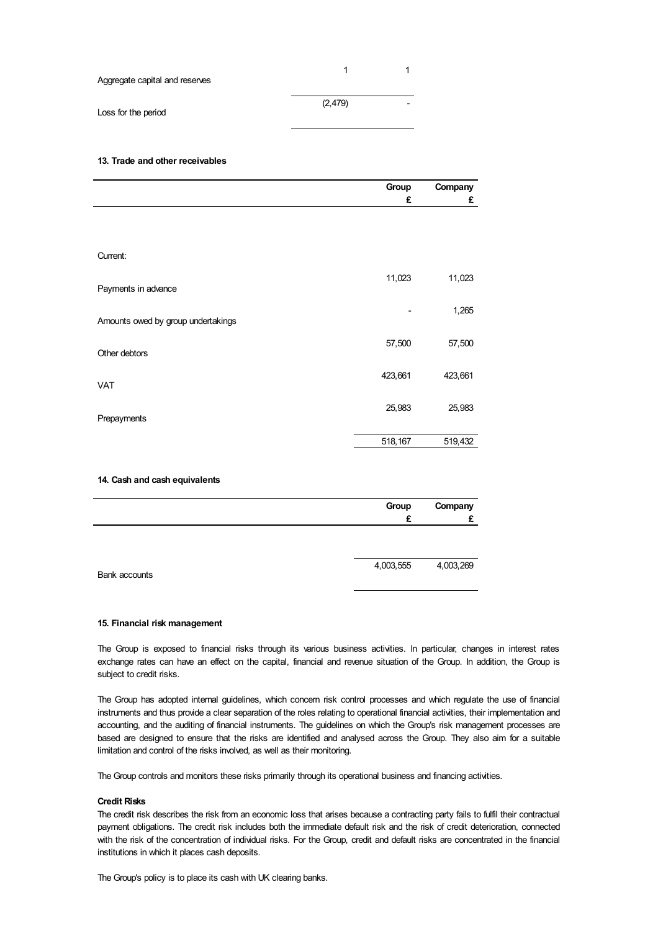| Aggregate capital and reserves |          |   |
|--------------------------------|----------|---|
| Loss for the period            | (2, 479) | - |

### **13. Trade and other receivables**

|                                    | Group   | Company |
|------------------------------------|---------|---------|
|                                    | £       | £       |
|                                    |         |         |
|                                    |         |         |
|                                    |         |         |
| Current:                           |         |         |
|                                    | 11,023  | 11,023  |
| Payments in advance                |         |         |
|                                    |         | 1,265   |
| Amounts owed by group undertakings |         |         |
|                                    |         |         |
| Other debtors                      | 57,500  | 57,500  |
|                                    |         |         |
| <b>VAT</b>                         | 423,661 | 423,661 |
|                                    |         |         |
|                                    | 25,983  | 25,983  |
| Prepayments                        |         |         |
|                                    | 518,167 | 519,432 |
|                                    |         |         |
|                                    |         |         |
| 14. Cash and cash equivalents      |         |         |
|                                    | Group   | Company |
|                                    | £       | £       |

| Bank accounts | 4,003,555 | 4,003,269 |
|---------------|-----------|-----------|

## **15. Financial risk management**

The Group is exposed to financial risks through its various business activities. In particular, changes in interest rates exchange rates can have an effect on the capital, financial and revenue situation of the Group. In addition, the Group is subject to credit risks.

The Group has adopted internal guidelines, which concern risk control processes and which regulate the use of financial instruments and thus provide a clear separation of the roles relating to operational financial activities, their implementation and accounting, and the auditing of financial instruments. The guidelines on which the Group's risk management processes are based are designed to ensure that the risks are identified and analysed across the Group. They also aim for a suitable limitation and control of the risks involved, as well as their monitoring.

The Group controls and monitors these risks primarily through its operational business and financing activities.

# **Credit Risks**

The credit risk describes the risk from an economic loss that arises because a contracting party fails to fulfil their contractual payment obligations. The credit risk includes both the immediate default risk and the risk of credit deterioration, connected with the risk of the concentration of individual risks. For the Group, credit and default risks are concentrated in the financial institutions in which it places cash deposits.

The Group's policy is to place its cash with UK clearing banks.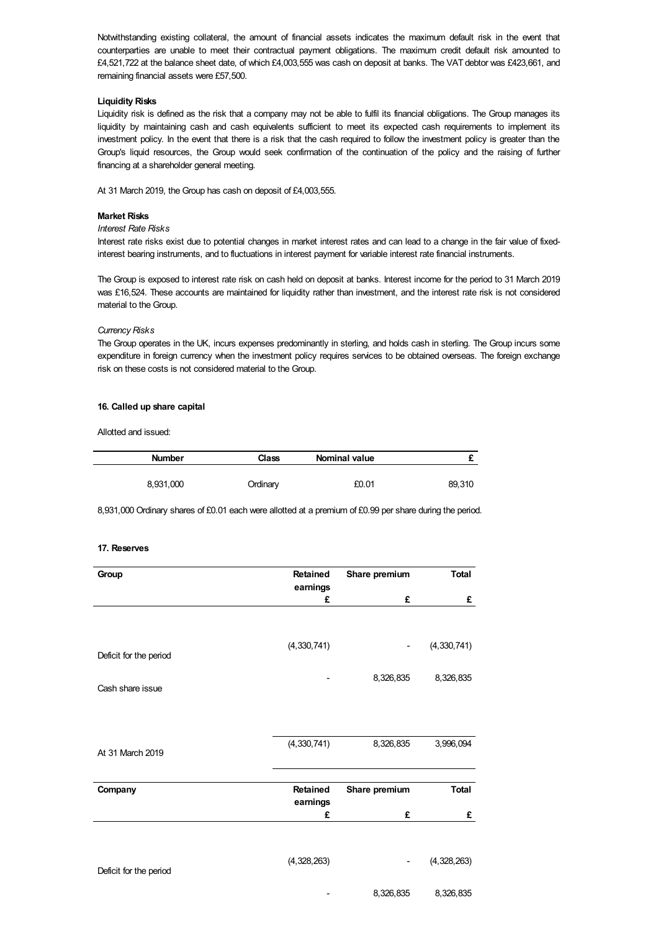Notwithstanding existing collateral, the amount of financial assets indicates the maximum default risk in the event that counterparties are unable to meet their contractual payment obligations. The maximum credit default risk amounted to £4,521,722 at the balance sheet date, of which £4,003,555 was cash on deposit at banks. The VAT debtor was £423,661, and remaining financial assets were £57,500.

# **Liquidity Risks**

Liquidity risk is defined as the risk that a company may not be able to fulfil its financial obligations. The Group manages its liquidity by maintaining cash and cash equivalents sufficient to meet its expected cash requirements to implement its investment policy. In the event that there is a risk that the cash required to follow the investment policy is greater than the Group's liquid resources, the Group would seek confirmation of the continuation of the policy and the raising of further financing at a shareholder general meeting.

At 31 March 2019, the Group has cash on deposit of £4,003,555.

# **Market Risks**

# *Interest Rate Risks*

Interest rate risks exist due to potential changes in market interest rates and can lead to a change in the fair value of fixedinterest bearing instruments, and to fluctuations in interest payment for variable interest rate financial instruments.

The Group is exposed to interest rate risk on cash held on deposit at banks. Interest income for the period to 31 March 2019 was £16,524. These accounts are maintained for liquidity rather than investment, and the interest rate risk is not considered material to the Group.

# *Currency Risks*

The Group operates in the UK, incurs expenses predominantly in sterling, and holds cash in sterling. The Group incurs some expenditure in foreign currency when the investment policy requires services to be obtained overseas. The foreign exchange risk on these costs is not considered material to the Group.

# **16. Called up share capital**

Allotted and issued:

| <b>Number</b> | Class    | Nominal value |        |
|---------------|----------|---------------|--------|
| 8,931,000     | Ordinary | £0.01         | 89,310 |

8,931,000 Ordinary shares of £0.01 each were allotted at a premium of £0.99 per share during the period.

### **17. Reserves**

| Group                  | Retained        | Share premium | <b>Total</b>  |
|------------------------|-----------------|---------------|---------------|
|                        | earnings        |               |               |
|                        | £               | £             | £             |
|                        |                 |               |               |
|                        | (4, 330, 741)   |               | (4, 330, 741) |
| Deficit for the period |                 |               |               |
|                        |                 | 8,326,835     | 8,326,835     |
| Cash share issue       |                 |               |               |
|                        |                 |               |               |
|                        |                 |               |               |
| At 31 March 2019       | (4, 330, 741)   | 8,326,835     | 3,996,094     |
|                        |                 |               |               |
| Company                | <b>Retained</b> | Share premium | <b>Total</b>  |
|                        | earnings        |               |               |
|                        | £               | £             | £             |
|                        |                 |               |               |
|                        | (4,328,263)     |               | (4,328,263)   |
| Deficit for the period |                 |               |               |
|                        |                 | 8,326,835     | 8,326,835     |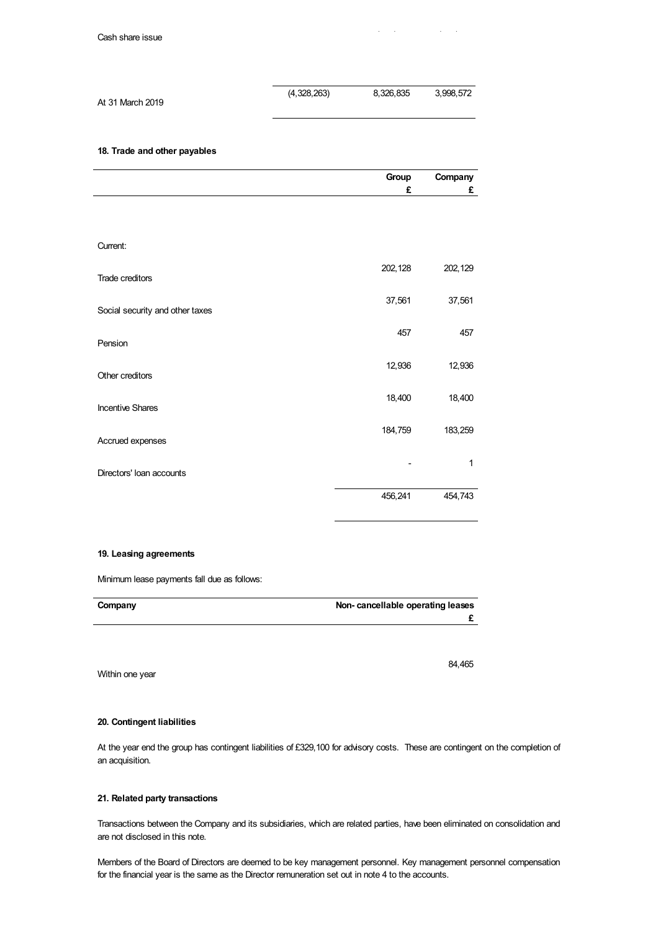|                  | (4,328,263) | 8.326.835 | 3.998.572 |
|------------------|-------------|-----------|-----------|
| At 31 March 2019 |             |           |           |

**18. Trade and other payables**

|                                 | Group   | Company |
|---------------------------------|---------|---------|
|                                 | £       | £       |
|                                 |         |         |
|                                 |         |         |
|                                 |         |         |
| Current:                        |         |         |
|                                 | 202,128 | 202,129 |
| Trade creditors                 |         |         |
|                                 |         |         |
| Social security and other taxes | 37,561  | 37,561  |
|                                 |         |         |
|                                 | 457     | 457     |
| Pension                         |         |         |
|                                 | 12,936  | 12,936  |
| Other creditors                 |         |         |
|                                 | 18,400  | 18,400  |
| <b>Incentive Shares</b>         |         |         |
|                                 | 184,759 | 183,259 |
| Accrued expenses                |         |         |
|                                 |         |         |
| Directors' Ioan accounts        |         | 1       |
|                                 |         |         |
|                                 | 456,241 | 454,743 |

# **19. Leasing agreements**

Minimum lease payments fall due as follows:

| Company | Non-cancellable operating leases |
|---------|----------------------------------|
|         |                                  |

Within one year

# **20. Contingent liabilities**

At the year end the group has contingent liabilities of £329,100 for advisory costs. These are contingent on the completion of an acquisition.

# **21. Related party transactions**

Transactions between the Company and its subsidiaries, which are related parties, have been eliminated on consolidation and are not disclosed in this note.

Members of the Board of Directors are deemed to be key management personnel. Key management personnel compensation for the financial year is the same as the Director remuneration set out in note 4 to the accounts.

84,465